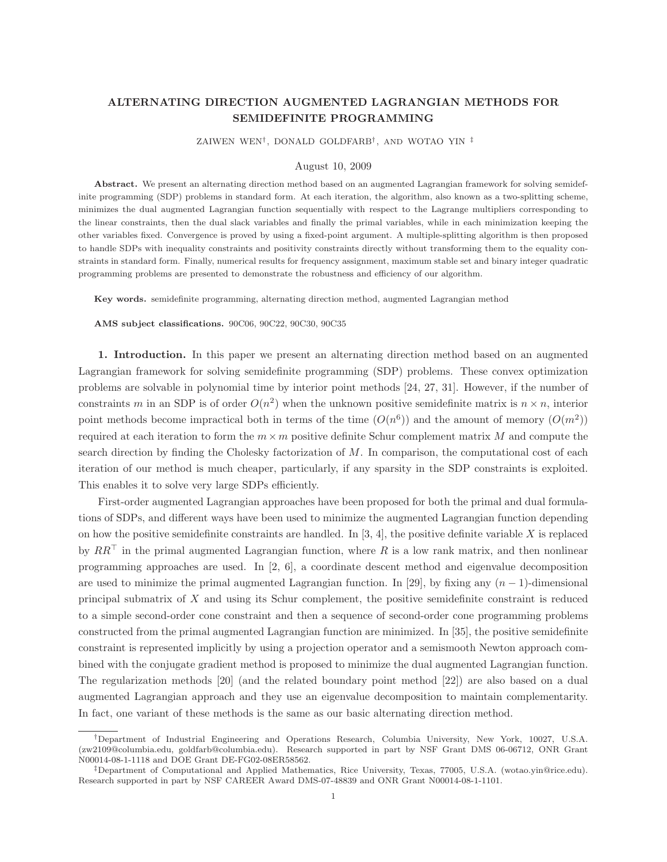# ALTERNATING DIRECTION AUGMENTED LAGRANGIAN METHODS FOR SEMIDEFINITE PROGRAMMING

ZAIWEN WEN† , DONALD GOLDFARB† , AND WOTAO YIN ‡

### August 10, 2009

Abstract. We present an alternating direction method based on an augmented Lagrangian framework for solving semidefinite programming (SDP) problems in standard form. At each iteration, the algorithm, also known as a two-splitting scheme, minimizes the dual augmented Lagrangian function sequentially with respect to the Lagrange multipliers corresponding to the linear constraints, then the dual slack variables and finally the primal variables, while in each minimization keeping the other variables fixed. Convergence is proved by using a fixed-point argument. A multiple-splitting algorithm is then proposed to handle SDPs with inequality constraints and positivity constraints directly without transforming them to the equality constraints in standard form. Finally, numerical results for frequency assignment, maximum stable set and binary integer quadratic programming problems are presented to demonstrate the robustness and efficiency of our algorithm.

Key words. semidefinite programming, alternating direction method, augmented Lagrangian method

AMS subject classifications. 90C06, 90C22, 90C30, 90C35

1. Introduction. In this paper we present an alternating direction method based on an augmented Lagrangian framework for solving semidefinite programming (SDP) problems. These convex optimization problems are solvable in polynomial time by interior point methods [24, 27, 31]. However, if the number of constraints m in an SDP is of order  $O(n^2)$  when the unknown positive semidefinite matrix is  $n \times n$ , interior point methods become impractical both in terms of the time  $(O(n^6))$  and the amount of memory  $(O(m^2))$ required at each iteration to form the  $m \times m$  positive definite Schur complement matrix M and compute the search direction by finding the Cholesky factorization of  $M$ . In comparison, the computational cost of each iteration of our method is much cheaper, particularly, if any sparsity in the SDP constraints is exploited. This enables it to solve very large SDPs efficiently.

First-order augmented Lagrangian approaches have been proposed for both the primal and dual formulations of SDPs, and different ways have been used to minimize the augmented Lagrangian function depending on how the positive semidefinite constraints are handled. In  $[3, 4]$ , the positive definite variable  $X$  is replaced by  $RR<sup>T</sup>$  in the primal augmented Lagrangian function, where R is a low rank matrix, and then nonlinear programming approaches are used. In [2, 6], a coordinate descent method and eigenvalue decomposition are used to minimize the primal augmented Lagrangian function. In [29], by fixing any  $(n-1)$ -dimensional principal submatrix of X and using its Schur complement, the positive semidefinite constraint is reduced to a simple second-order cone constraint and then a sequence of second-order cone programming problems constructed from the primal augmented Lagrangian function are minimized. In [35], the positive semidefinite constraint is represented implicitly by using a projection operator and a semismooth Newton approach combined with the conjugate gradient method is proposed to minimize the dual augmented Lagrangian function. The regularization methods [20] (and the related boundary point method [22]) are also based on a dual augmented Lagrangian approach and they use an eigenvalue decomposition to maintain complementarity. In fact, one variant of these methods is the same as our basic alternating direction method.

<sup>†</sup>Department of Industrial Engineering and Operations Research, Columbia University, New York, 10027, U.S.A. (zw2109@columbia.edu, goldfarb@columbia.edu). Research supported in part by NSF Grant DMS 06-06712, ONR Grant N00014-08-1-1118 and DOE Grant DE-FG02-08ER58562.

<sup>‡</sup>Department of Computational and Applied Mathematics, Rice University, Texas, 77005, U.S.A. (wotao.yin@rice.edu). Research supported in part by NSF CAREER Award DMS-07-48839 and ONR Grant N00014-08-1-1101.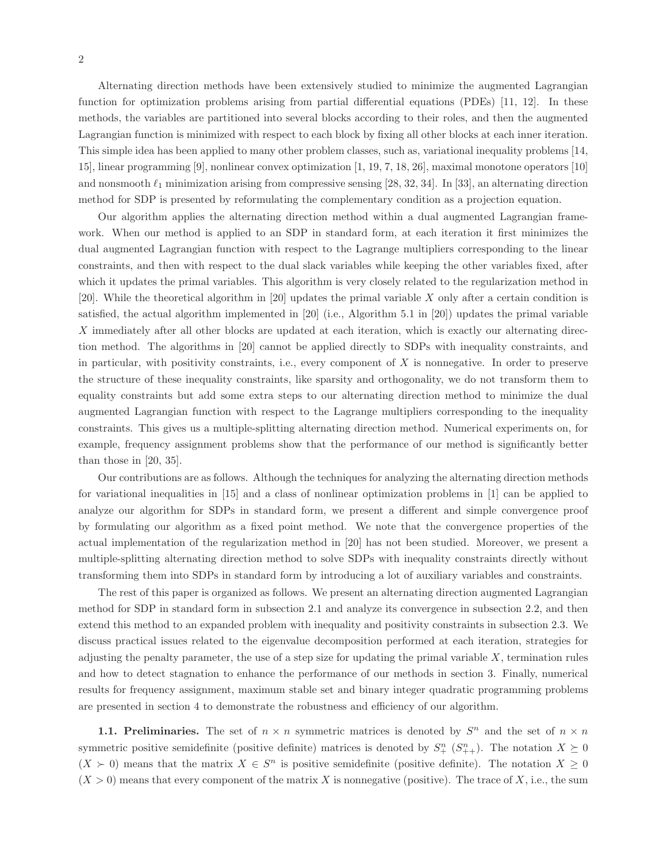Alternating direction methods have been extensively studied to minimize the augmented Lagrangian function for optimization problems arising from partial differential equations (PDEs) [11, 12]. In these methods, the variables are partitioned into several blocks according to their roles, and then the augmented Lagrangian function is minimized with respect to each block by fixing all other blocks at each inner iteration. This simple idea has been applied to many other problem classes, such as, variational inequality problems [14, 15], linear programming [9], nonlinear convex optimization [1, 19, 7, 18, 26], maximal monotone operators [10] and nonsmooth  $\ell_1$  minimization arising from compressive sensing [28, 32, 34]. In [33], an alternating direction method for SDP is presented by reformulating the complementary condition as a projection equation.

Our algorithm applies the alternating direction method within a dual augmented Lagrangian framework. When our method is applied to an SDP in standard form, at each iteration it first minimizes the dual augmented Lagrangian function with respect to the Lagrange multipliers corresponding to the linear constraints, and then with respect to the dual slack variables while keeping the other variables fixed, after which it updates the primal variables. This algorithm is very closely related to the regularization method in [20]. While the theoretical algorithm in [20] updates the primal variable X only after a certain condition is satisfied, the actual algorithm implemented in [20] (i.e., Algorithm 5.1 in [20]) updates the primal variable X immediately after all other blocks are updated at each iteration, which is exactly our alternating direction method. The algorithms in [20] cannot be applied directly to SDPs with inequality constraints, and in particular, with positivity constraints, i.e., every component of X is nonnegative. In order to preserve the structure of these inequality constraints, like sparsity and orthogonality, we do not transform them to equality constraints but add some extra steps to our alternating direction method to minimize the dual augmented Lagrangian function with respect to the Lagrange multipliers corresponding to the inequality constraints. This gives us a multiple-splitting alternating direction method. Numerical experiments on, for example, frequency assignment problems show that the performance of our method is significantly better than those in [20, 35].

Our contributions are as follows. Although the techniques for analyzing the alternating direction methods for variational inequalities in [15] and a class of nonlinear optimization problems in [1] can be applied to analyze our algorithm for SDPs in standard form, we present a different and simple convergence proof by formulating our algorithm as a fixed point method. We note that the convergence properties of the actual implementation of the regularization method in [20] has not been studied. Moreover, we present a multiple-splitting alternating direction method to solve SDPs with inequality constraints directly without transforming them into SDPs in standard form by introducing a lot of auxiliary variables and constraints.

The rest of this paper is organized as follows. We present an alternating direction augmented Lagrangian method for SDP in standard form in subsection 2.1 and analyze its convergence in subsection 2.2, and then extend this method to an expanded problem with inequality and positivity constraints in subsection 2.3. We discuss practical issues related to the eigenvalue decomposition performed at each iteration, strategies for adjusting the penalty parameter, the use of a step size for updating the primal variable  $X$ , termination rules and how to detect stagnation to enhance the performance of our methods in section 3. Finally, numerical results for frequency assignment, maximum stable set and binary integer quadratic programming problems are presented in section 4 to demonstrate the robustness and efficiency of our algorithm.

**1.1. Preliminaries.** The set of  $n \times n$  symmetric matrices is denoted by  $S^n$  and the set of  $n \times n$ symmetric positive semidefinite (positive definite) matrices is denoted by  $S^n_+$   $(S^n_{++})$ . The notation  $X \succeq 0$  $(X \succ 0)$  means that the matrix  $X \in S^n$  is positive semidefinite (positive definite). The notation  $X \geq 0$  $(X > 0)$  means that every component of the matrix X is nonnegative (positive). The trace of X, i.e., the sum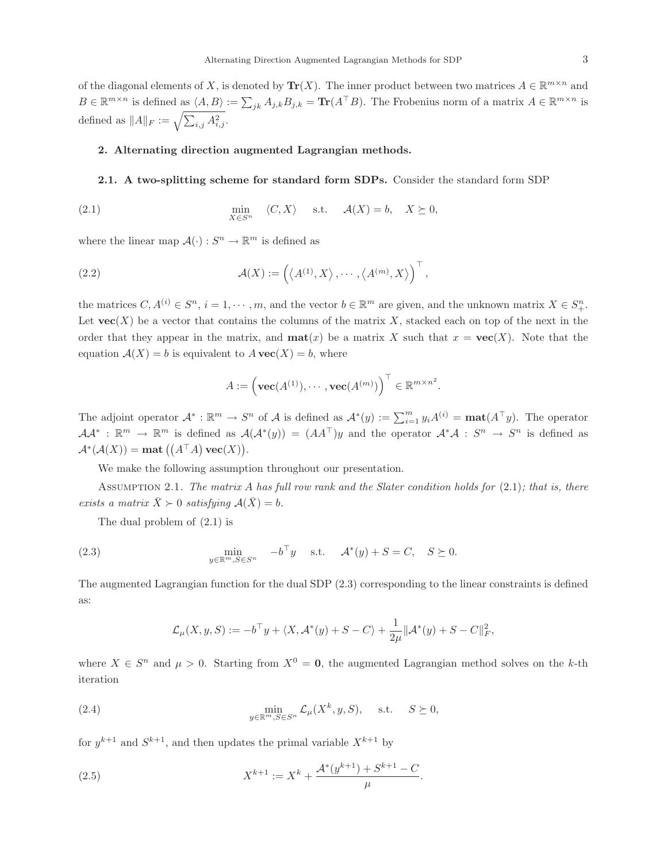of the diagonal elements of X, is denoted by  $\text{Tr}(X)$ . The inner product between two matrices  $A \in \mathbb{R}^{m \times n}$  and  $B \in \mathbb{R}^{m \times n}$  is defined as  $\langle A, B \rangle := \sum_{jk} A_{j,k} B_{j,k} = \text{Tr}(A^\top B)$ . The Frobenius norm of a matrix  $A \in \mathbb{R}^{m \times n}$  is defined as  $||A||_F := \sqrt{\sum_{i,j} A_{i,j}^2}$ .

## 2. Alternating direction augmented Lagrangian methods.

## 2.1. A two-splitting scheme for standard form SDPs. Consider the standard form SDP

(2.1) 
$$
\min_{X \in S^n} \langle C, X \rangle \quad \text{s.t.} \quad \mathcal{A}(X) = b, \quad X \succeq 0,
$$

where the linear map  $\mathcal{A}(\cdot) : S^n \to \mathbb{R}^m$  is defined as

(2.2) 
$$
\mathcal{A}(X) := \left( \langle A^{(1)}, X \rangle, \cdots, \langle A^{(m)}, X \rangle \right)^{\top},
$$

the matrices  $C, A^{(i)} \in S^n$ ,  $i = 1, \dots, m$ , and the vector  $b \in \mathbb{R}^m$  are given, and the unknown matrix  $X \in S^n_+$ . Let  $\text{vec}(X)$  be a vector that contains the columns of the matrix X, stacked each on top of the next in the order that they appear in the matrix, and  $\text{mat}(x)$  be a matrix X such that  $x = \text{vec}(X)$ . Note that the equation  $A(X) = b$  is equivalent to  $A$  **vec** $(X) = b$ , where

$$
A := \left(\mathbf{vec}(A^{(1)}), \cdots, \mathbf{vec}(A^{(m)})\right)^{\top} \in \mathbb{R}^{m \times n^2}.
$$

The adjoint operator  $\mathcal{A}^* : \mathbb{R}^m \to S^n$  of  $\mathcal{A}$  is defined as  $\mathcal{A}^*(y) := \sum_{i=1}^m y_i A^{(i)} = \textbf{mat}(A^\top y)$ . The operator  $A\mathcal{A}^* : \mathbb{R}^m \to \mathbb{R}^m$  is defined as  $\mathcal{A}(\mathcal{A}^*(y)) = (AA^{\top})y$  and the operator  $\mathcal{A}^*\mathcal{A} : S^n \to S^n$  is defined as  $\mathcal{A}^*(\mathcal{A}(X)) = \textbf{mat}((A^\top A)\,\textbf{vec}(X)).$ 

We make the following assumption throughout our presentation.

Assumption 2.1. *The matrix* A *has full row rank and the Slater condition holds for* (2.1)*; that is, there exists a matrix*  $\bar{X} \succ 0$  *satisfying*  $\mathcal{A}(\bar{X}) = b$ .

The dual problem of (2.1) is

(2.3) 
$$
\min_{y \in \mathbb{R}^m, S \in S^n} \quad -b^{\top}y \quad \text{s.t.} \quad \mathcal{A}^*(y) + S = C, \quad S \succeq 0.
$$

The augmented Lagrangian function for the dual SDP (2.3) corresponding to the linear constraints is defined as:

$$
\mathcal{L}_{\mu}(X, y, S) := -b^{\top}y + \langle X, \mathcal{A}^*(y) + S - C \rangle + \frac{1}{2\mu} ||\mathcal{A}^*(y) + S - C||_F^2,
$$

where  $X \in S^n$  and  $\mu > 0$ . Starting from  $X^0 = 0$ , the augmented Lagrangian method solves on the k-th iteration

(2.4) 
$$
\min_{y \in \mathbb{R}^m, S \in S^n} \mathcal{L}_{\mu}(X^k, y, S), \quad \text{s.t.} \quad S \succeq 0,
$$

for  $y^{k+1}$  and  $S^{k+1}$ , and then updates the primal variable  $X^{k+1}$  by

(2.5) 
$$
X^{k+1} := X^k + \frac{\mathcal{A}^*(y^{k+1}) + S^{k+1} - C}{\mu}.
$$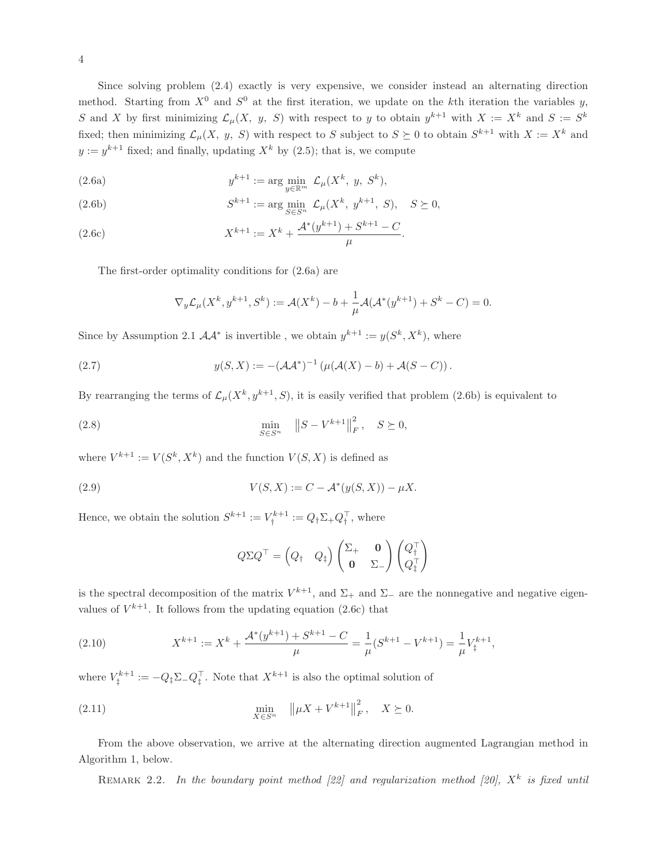Since solving problem (2.4) exactly is very expensive, we consider instead an alternating direction method. Starting from  $X^0$  and  $S^0$  at the first iteration, we update on the kth iteration the variables y, S and X by first minimizing  $\mathcal{L}_{\mu}(X, y, S)$  with respect to y to obtain  $y^{k+1}$  with  $X := X^k$  and  $S := S^k$ fixed; then minimizing  $\mathcal{L}_{\mu}(X, y, S)$  with respect to S subject to  $S \succeq 0$  to obtain  $S^{k+1}$  with  $X := X^k$  and  $y := y^{k+1}$  fixed; and finally, updating  $X^k$  by (2.5); that is, we compute

(2.6a) 
$$
y^{k+1} := \arg\min_{y \in \mathbb{R}^m} \mathcal{L}_{\mu}(X^k, y, S^k),
$$

(2.6b) 
$$
S^{k+1} := \arg \min_{S \in S^n} \mathcal{L}_{\mu}(X^k, y^{k+1}, S), \quad S \succeq 0,
$$

(2.6c) 
$$
X^{k+1} := X^k + \frac{\mathcal{A}^*(y^{k+1}) + S^{k+1} - C}{\mu}.
$$

The first-order optimality conditions for (2.6a) are

$$
\nabla_y \mathcal{L}_{\mu}(X^k, y^{k+1}, S^k) := \mathcal{A}(X^k) - b + \frac{1}{\mu} \mathcal{A}(\mathcal{A}^*(y^{k+1}) + S^k - C) = 0.
$$

Since by Assumption 2.1  $AA^*$  is invertible, we obtain  $y^{k+1} := y(S^k, X^k)$ , where

(2.7) 
$$
y(S, X) := -(\mathcal{A}\mathcal{A}^*)^{-1} \left( \mu(\mathcal{A}(X) - b) + \mathcal{A}(S - C) \right).
$$

By rearranging the terms of  $\mathcal{L}_{\mu}(X^k, y^{k+1}, S)$ , it is easily verified that problem (2.6b) is equivalent to

(2.8) 
$$
\min_{S \in S^n} \|S - V^{k+1}\|_F^2, \quad S \succeq 0,
$$

where  $V^{k+1} := V(S^k, X^k)$  and the function  $V(S, X)$  is defined as

(2.9) 
$$
V(S, X) := C - \mathcal{A}^*(y(S, X)) - \mu X.
$$

Hence, we obtain the solution  $S^{k+1} := V_{t}^{k+1}$  $q^{\kappa+1} := Q_{\dagger} \Sigma_+ Q_{\dagger}^{\dagger}$ , where

$$
Q\Sigma Q^{\top} = \begin{pmatrix} Q_\dagger & Q_\ddagger \end{pmatrix} \begin{pmatrix} \Sigma_+ & \mathbf{0} \\ \mathbf{0} & \Sigma_- \end{pmatrix} \begin{pmatrix} Q_\dagger^{\top} \\ Q_\dagger^{\top} \end{pmatrix}
$$

is the spectral decomposition of the matrix  $V^{k+1}$ , and  $\Sigma_+$  and  $\Sigma_-$  are the nonnegative and negative eigenvalues of  $V^{k+1}$ . It follows from the updating equation (2.6c) that

(2.10) 
$$
X^{k+1} := X^k + \frac{\mathcal{A}^*(y^{k+1}) + S^{k+1} - C}{\mu} = \frac{1}{\mu} (S^{k+1} - V^{k+1}) = \frac{1}{\mu} V_{\ddagger}^{k+1},
$$

where  $V_{\dagger}^{k+1}$  $T_{\ddagger}^{k+1} := -Q_{\ddagger} \Sigma_- Q_{\ddagger}^{\top}$ . Note that  $X^{k+1}$  is also the optimal solution of

(2.11) 
$$
\min_{X \in S^n} \| \mu X + V^{k+1} \|_F^2, \quad X \succeq 0.
$$

From the above observation, we arrive at the alternating direction augmented Lagrangian method in Algorithm 1, below.

REMARK 2.2. In the boundary point method  $[22]$  and regularization method  $[20]$ ,  $X<sup>k</sup>$  is fixed until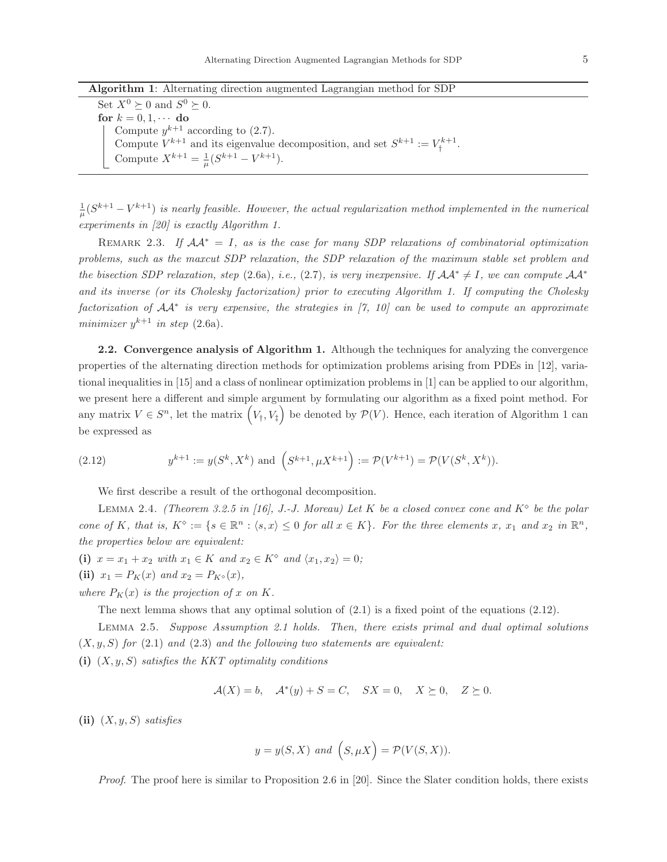Algorithm 1: Alternating direction augmented Lagrangian method for SDP

Set  $X^0 \succeq 0$  and  $S^0 \succeq 0$ . for  $k = 0, 1, \cdots$  do Compute  $y^{k+1}$  according to (2.7). Compute  $V^{k+1}$  and its eigenvalue decomposition, and set  $S^{k+1} := V^{k+1}$ † . Compute  $X^{k+1} = \frac{1}{\mu}(S^{k+1} - V^{k+1}).$ 

 $\frac{1}{\mu}(S^{k+1}-V^{k+1})$  is nearly feasible. However, the actual regularization method implemented in the numerical *experiments in [20] is exactly Algorithm 1.*

REMARK 2.3. If  $AA^* = I$ , as is the case for many SDP relaxations of combinatorial optimization *problems, such as the maxcut SDP relaxation, the SDP relaxation of the maximum stable set problem and the bisection SDP relaxation, step* (2.6a)*, i.e.,* (2.7)*, is very inexpensive. If*  $\mathcal{A}A^* \neq I$ *, we can compute*  $\mathcal{A}A^*$ *and its inverse (or its Cholesky factorization) prior to executing Algorithm 1. If computing the Cholesky factorization of* AA<sup>∗</sup> *is very expensive, the strategies in [7, 10] can be used to compute an approximate minimizer*  $y^{k+1}$  *in step* (2.6a).

2.2. Convergence analysis of Algorithm 1. Although the techniques for analyzing the convergence properties of the alternating direction methods for optimization problems arising from PDEs in [12], variational inequalities in [15] and a class of nonlinear optimization problems in [1] can be applied to our algorithm, we present here a different and simple argument by formulating our algorithm as a fixed point method. For any matrix  $V \in S<sup>n</sup>$ , let the matrix  $(V_{\dagger}, V_{\ddagger})$  be denoted by  $\mathcal{P}(V)$ . Hence, each iteration of Algorithm 1 can be expressed as

(2.12) 
$$
y^{k+1} := y(S^k, X^k) \text{ and } \left(S^{k+1}, \mu X^{k+1}\right) := \mathcal{P}(V^{k+1}) = \mathcal{P}(V(S^k, X^k)).
$$

We first describe a result of the orthogonal decomposition.

Lemma 2.4. *(Theorem 3.2.5 in [16], J.-J. Moreau) Let* K *be a closed convex cone and* K<sup>⋄</sup> *be the polar cone of* K, that is,  $K^{\circ} := \{s \in \mathbb{R}^n : \langle s, x \rangle \leq 0 \text{ for all } x \in K\}$ . For the three elements x, x<sub>1</sub> and x<sub>2</sub> in  $\mathbb{R}^n$ , *the properties below are equivalent:*

(i)  $x = x_1 + x_2$  *with*  $x_1 \in K$  *and*  $x_2 \in K^{\diamond}$  *and*  $\langle x_1, x_2 \rangle = 0$ ; (ii)  $x_1 = P_K(x)$  *and*  $x_2 = P_{K^{\diamond}}(x)$ *,* 

*where*  $P_K(x)$  *is the projection of* x *on* K.

The next lemma shows that any optimal solution of (2.1) is a fixed point of the equations (2.12).

Lemma 2.5. *Suppose Assumption 2.1 holds. Then, there exists primal and dual optimal solutions*  $(X, y, S)$  *for*  $(2.1)$  *and*  $(2.3)$  *and the following two statements are equivalent:* 

(i) (X, y, S) *satisfies the KKT optimality conditions*

$$
\mathcal{A}(X) = b, \quad \mathcal{A}^*(y) + S = C, \quad SX = 0, \quad X \succeq 0, \quad Z \succeq 0.
$$

(ii) (X, y, S) *satisfies*

$$
y = y(S, X)
$$
 and  $(S, \mu X) = \mathcal{P}(V(S, X)).$ 

*Proof*. The proof here is similar to Proposition 2.6 in [20]. Since the Slater condition holds, there exists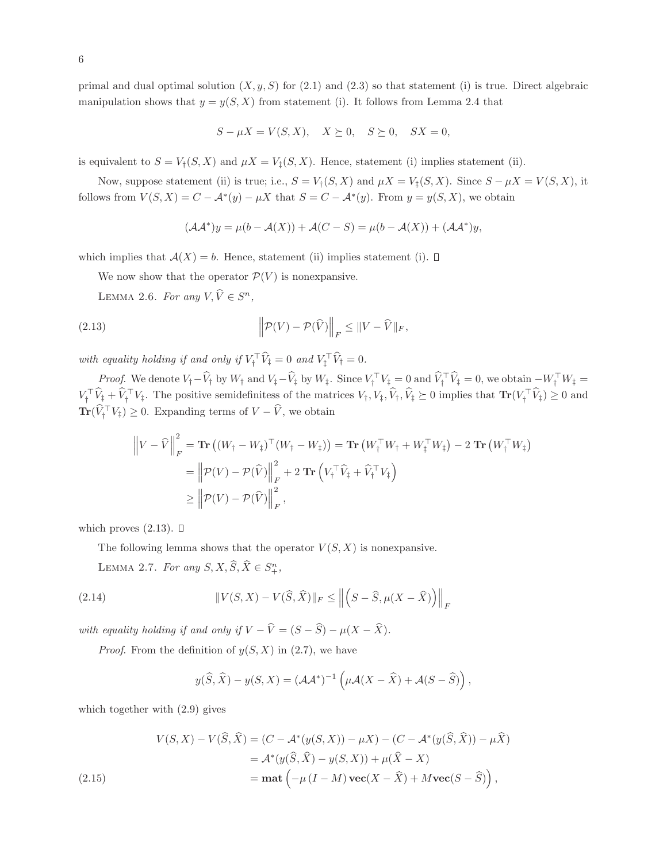primal and dual optimal solution  $(X, y, S)$  for  $(2.1)$  and  $(2.3)$  so that statement (i) is true. Direct algebraic manipulation shows that  $y = y(S, X)$  from statement (i). It follows from Lemma 2.4 that

$$
S - \mu X = V(S, X), \quad X \succeq 0, \quad S \succeq 0, \quad SX = 0,
$$

is equivalent to  $S = V_t(S, X)$  and  $\mu X = V_t(S, X)$ . Hence, statement (i) implies statement (ii).

Now, suppose statement (ii) is true; i.e.,  $S = V_{\dagger}(S, X)$  and  $\mu X = V_{\dagger}(S, X)$ . Since  $S - \mu X = V(S, X)$ , it follows from  $V(S, X) = C - \mathcal{A}^*(y) - \mu X$  that  $S = C - \mathcal{A}^*(y)$ . From  $y = y(S, X)$ , we obtain

$$
(\mathcal{A}\mathcal{A}^*)y = \mu(b - \mathcal{A}(X)) + \mathcal{A}(C - S) = \mu(b - \mathcal{A}(X)) + (\mathcal{A}\mathcal{A}^*)y,
$$

which implies that  $A(X) = b$ . Hence, statement (ii) implies statement (i).  $\square$ 

We now show that the operator  $\mathcal{P}(V)$  is nonexpansive.

LEMMA 2.6. *For any*  $V, \hat{V} \in S^n$ ,

(2.13) 
$$
\left\| \mathcal{P}(V) - \mathcal{P}(\widehat{V}) \right\|_F \leq \|V - \widehat{V}\|_F,
$$

with equality holding if and only if  $V^{\dagger}_{\dagger} V^{\dagger}_\dagger = 0$  and  $V^{\dagger}_\dagger V^{\dagger}_\dagger = 0$ .

*Proof.* We denote  $V_{\dagger} - V_{\dagger}$  by  $W_{\dagger}$  and  $V_{\dagger} - V_{\dagger}$  by  $W_{\dagger}$ . Since  $V_{\dagger} \dagger V_{\dagger} = 0$  and  $V_{\dagger} \dagger V_{\dagger} = 0$ , we obtain  $-W_{\dagger} \dagger W_{\dagger} = 0$  $V_{\dagger}^{\dagger} V_{\ddagger} + V_{\dagger}^{\dagger} V_{\ddagger}$ . The positive semidefinitess of the matrices  $V_{\dagger}$ ,  $V_{\ddagger}$ ,  $V_{\dagger}$ ,  $V_{\ddagger}$ ,  $V_{\ddagger}$ ,  $V_{\ddagger}$ ,  $V_{\ddagger}$ ,  $V_{\ddagger}$ ,  $V_{\ddagger}$   $\geq 0$  and  $\sum_{i=1}^{n} V_{\dagger}$   $\sum_{i=1}^{n} V_{\dagger}$  $\mathbf{Tr}(V_{\dagger}^{\top} V_{\ddagger}) \geq 0$ . Expanding terms of  $V - V$ , we obtain

$$
\left\| V - \widehat{V} \right\|_F^2 = \mathbf{Tr} \left( (W_{\dagger} - W_{\ddagger})^\top (W_{\dagger} - W_{\ddagger}) \right) = \mathbf{Tr} \left( W_{\dagger}^\top W_{\dagger} + W_{\ddagger}^\top W_{\ddagger} \right) - 2 \mathbf{Tr} \left( W_{\dagger}^\top W_{\ddagger} \right)
$$
  
\n
$$
= \left\| \mathcal{P}(V) - \mathcal{P}(\widehat{V}) \right\|_F^2 + 2 \mathbf{Tr} \left( V_{\dagger}^\top \widehat{V}_{\ddagger} + \widehat{V}_{\dagger}^\top V_{\ddagger} \right)
$$
  
\n
$$
\geq \left\| \mathcal{P}(V) - \mathcal{P}(\widehat{V}) \right\|_F^2,
$$

which proves  $(2.13)$ .  $\square$ 

The following lemma shows that the operator  $V(S, X)$  is nonexpansive.

LEMMA 2.7. *For any*  $S, X, \widehat{S}, \widehat{X} \in S^n_+$ ,

(2.14) 
$$
||V(S, X) - V(\widehat{S}, \widehat{X})||_F \le ||\left(S - \widehat{S}, \mu(X - \widehat{X})\right)||_F
$$

*with equality holding if and only if*  $V - \hat{V} = (S - \hat{S}) - \mu(X - \hat{X})$ *.* 

*Proof.* From the definition of  $y(S, X)$  in  $(2.7)$ , we have

$$
y(\widehat{S},\widehat{X}) - y(S,X) = (\mathcal{A}\mathcal{A}^*)^{-1} \left( \mu \mathcal{A}(X - \widehat{X}) + \mathcal{A}(S - \widehat{S}) \right),
$$

which together with (2.9) gives

$$
V(S, X) - V(\widehat{S}, \widehat{X}) = (C - \mathcal{A}^*(y(S, X)) - \mu X) - (C - \mathcal{A}^*(y(\widehat{S}, \widehat{X})) - \mu \widehat{X})
$$
  
= 
$$
\mathcal{A}^*(y(\widehat{S}, \widehat{X}) - y(S, X)) + \mu(\widehat{X} - X)
$$
  
= 
$$
\mathbf{mat} \left( -\mu (I - M) \mathbf{vec}(X - \widehat{X}) + M \mathbf{vec}(S - \widehat{S}) \right),
$$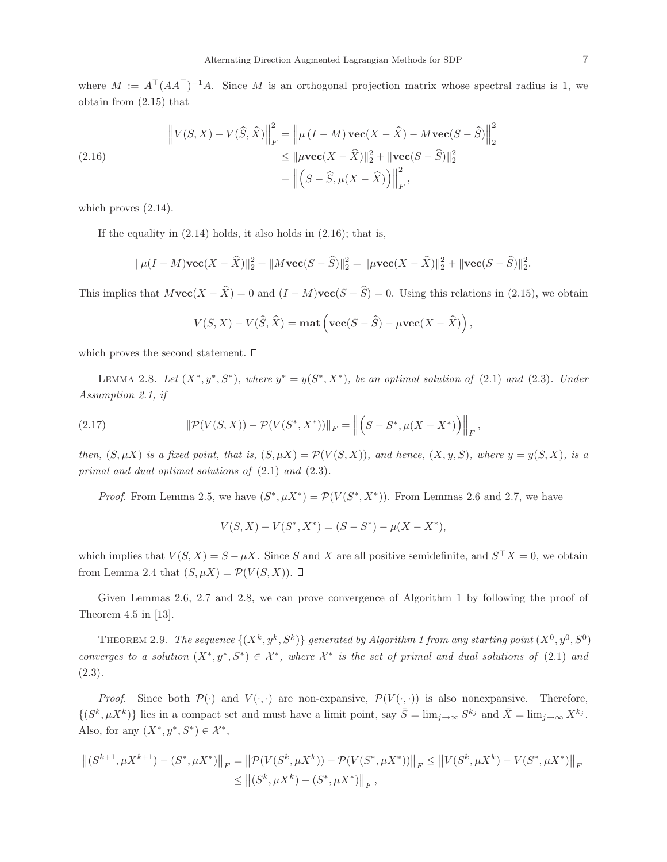where  $M := A^{\top} (AA^{\top})^{-1}A$ . Since M is an orthogonal projection matrix whose spectral radius is 1, we obtain from (2.15) that

(2.16) 
$$
\left\| V(S, X) - V(\widehat{S}, \widehat{X}) \right\|_{F}^{2} = \left\| \mu (I - M) \mathbf{vec}(X - \widehat{X}) - M \mathbf{vec}(S - \widehat{S}) \right\|_{2}^{2}
$$

$$
\leq \|\mu \mathbf{vec}(X - \widehat{X})\|_{2}^{2} + \|\mathbf{vec}(S - \widehat{S})\|_{2}^{2}
$$

$$
= \left\| \left(S - \widehat{S}, \mu (X - \widehat{X})\right) \right\|_{F}^{2},
$$

which proves  $(2.14)$ .

If the equality in  $(2.14)$  holds, it also holds in  $(2.16)$ ; that is,

$$
\|\mu(I-M)\mathbf{vec}(X-\widehat{X})\|_{2}^{2} + \|M\mathbf{vec}(S-\widehat{S})\|_{2}^{2} = \|\mu \mathbf{vec}(X-\widehat{X})\|_{2}^{2} + \|\mathbf{vec}(S-\widehat{S})\|_{2}^{2}.
$$

This implies that  $M\textbf{vec}(X - \hat{X}) = 0$  and  $(I - M)\textbf{vec}(S - \hat{S}) = 0$ . Using this relations in (2.15), we obtain

$$
V(S, X) - V(\widehat{S}, \widehat{X}) = \textbf{mat}\left(\textbf{vec}(S - \widehat{S}) - \mu \textbf{vec}(X - \widehat{X})\right),\,
$$

which proves the second statement.  $\square$ 

LEMMA 2.8. Let  $(X^*, y^*, S^*)$ , where  $y^* = y(S^*, X^*)$ , be an optimal solution of (2.1) and (2.3). Under *Assumption 2.1, if*

(2.17) 
$$
\|\mathcal{P}(V(S, X)) - \mathcal{P}(V(S^*, X^*))\|_F = \left\| \left(S - S^*, \mu(X - X^*)\right)\right\|_F,
$$

*then,*  $(S, \mu X)$  *is a fixed point, that is,*  $(S, \mu X) = \mathcal{P}(V(S, X))$ *, and hence,*  $(X, y, S)$ *, where*  $y = y(S, X)$ *, is a primal and dual optimal solutions of* (2.1) *and* (2.3)*.*

*Proof.* From Lemma 2.5, we have  $(S^*, \mu X^*) = \mathcal{P}(V(S^*, X^*))$ . From Lemmas 2.6 and 2.7, we have

$$
V(S, X) - V(S^*, X^*) = (S - S^*) - \mu(X - X^*),
$$

which implies that  $V(S, X) = S - \mu X$ . Since S and X are all positive semidefinite, and  $S<sup>\dagger</sup> X = 0$ , we obtain from Lemma 2.4 that  $(S, \mu X) = \mathcal{P}(V(S, X))$ .  $\Box$ 

Given Lemmas 2.6, 2.7 and 2.8, we can prove convergence of Algorithm 1 by following the proof of Theorem 4.5 in [13].

THEOREM 2.9. *The sequence*  $\{(X^k, y^k, S^k)\}$  generated by Algorithm 1 from any starting point  $(X^0, y^0, S^0)$ *converges to a solution*  $(X^*, y^*, S^*) \in \mathcal{X}^*$ , where  $\mathcal{X}^*$  is the set of primal and dual solutions of (2.1) and (2.3)*.*

*Proof.* Since both  $\mathcal{P}(\cdot)$  and  $V(\cdot, \cdot)$  are non-expansive,  $\mathcal{P}(V(\cdot, \cdot))$  is also nonexpansive. Therefore,  $\{(S^k, \mu X^k)\}\)$  lies in a compact set and must have a limit point, say  $\bar{S} = \lim_{j\to\infty} S^{k_j}$  and  $\bar{X} = \lim_{j\to\infty} X^{k_j}$ . Also, for any  $(X^*, y^*, S^*) \in \mathcal{X}^*$ ,

$$
\left\| (S^{k+1}, \mu X^{k+1}) - (S^*, \mu X^*) \right\|_F = \left\| \mathcal{P}(V(S^k, \mu X^k)) - \mathcal{P}(V(S^*, \mu X^*)) \right\|_F \le \left\| V(S^k, \mu X^k) - V(S^*, \mu X^*) \right\|_F
$$
  

$$
\le \left\| (S^k, \mu X^k) - (S^*, \mu X^*) \right\|_F,
$$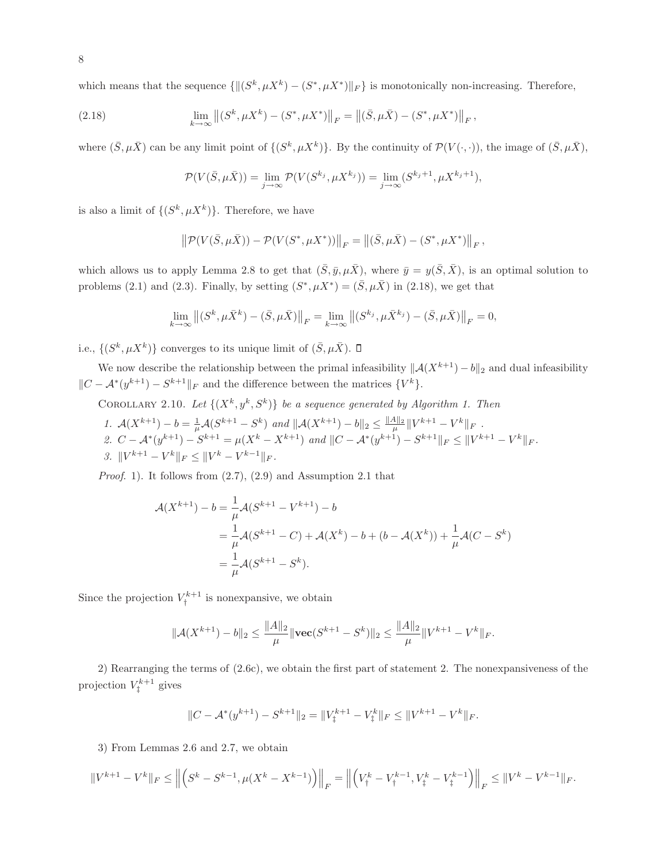which means that the sequence  $\{ \|(S^k, \mu X^k) - (S^*, \mu X^*)\|_F \}$  is monotonically non-increasing. Therefore,

(2.18) 
$$
\lim_{k \to \infty} \left\| (S^k, \mu X^k) - (S^*, \mu X^*) \right\|_F = \left\| (\bar{S}, \mu \bar{X}) - (S^*, \mu X^*) \right\|_F,
$$

where  $(\bar{S}, \mu \bar{X})$  can be any limit point of  $\{(S^k, \mu X^k)\}\$ . By the continuity of  $\mathcal{P}(V(\cdot, \cdot))$ , the image of  $(\bar{S}, \mu \bar{X})$ ,

$$
\mathcal{P}(V(\bar{S}, \mu \bar{X})) = \lim_{j \to \infty} \mathcal{P}(V(S^{k_j}, \mu X^{k_j})) = \lim_{j \to \infty} (S^{k_j+1}, \mu X^{k_j+1}),
$$

is also a limit of  $\{(S^k, \mu X^k)\}\$ . Therefore, we have

$$
\left\| \mathcal{P}(V(\bar{S}, \mu \bar{X})) - \mathcal{P}(V(S^*, \mu X^*)) \right\|_F = \left\| (\bar{S}, \mu \bar{X}) - (S^*, \mu X^*) \right\|_F,
$$

which allows us to apply Lemma 2.8 to get that  $(\bar{S}, \bar{y}, \mu \bar{X})$ , where  $\bar{y} = y(\bar{S}, \bar{X})$ , is an optimal solution to problems (2.1) and (2.3). Finally, by setting  $(S^*, \mu X^*) = (\bar{S}, \mu \bar{X})$  in (2.18), we get that

$$
\lim_{k \to \infty} \left\| (S^k, \mu \bar{X}^k) - (\bar{S}, \mu \bar{X}) \right\|_F = \lim_{k \to \infty} \left\| (S^{k_j}, \mu \bar{X}^{k_j}) - (\bar{S}, \mu \bar{X}) \right\|_F = 0,
$$

i.e.,  $\{(S^k, \mu X^k)\}\)$  converges to its unique limit of  $(\bar{S}, \mu \bar{X})$ .

We now describe the relationship between the primal infeasibility  $\|\mathcal{A}(X^{k+1}) - b\|_2$  and dual infeasibility  $||C - A^*(y^{k+1}) - S^{k+1}||_F$  and the difference between the matrices  $\{V^k\}.$ 

COROLLARY 2.10. Let  $\{(X^k, y^k, S^k)\}\$ be a sequence generated by Algorithm 1. Then

1. 
$$
\mathcal{A}(X^{k+1}) - b = \frac{1}{\mu} \mathcal{A}(S^{k+1} - S^k)
$$
 and  $\|\mathcal{A}(X^{k+1}) - b\|_2 \le \frac{\|A\|_2}{\mu} \|V^{k+1} - V^k\|_F$ .  
\n2.  $C - \mathcal{A}^*(y^{k+1}) - S^{k+1} = \mu(X^k - X^{k+1})$  and  $||C - \mathcal{A}^*(y^{k+1}) - S^{k+1}||_F \le ||V^{k+1} - V^k||_F$ .  
\n3.  $||V^{k+1} - V^k||_F \le ||V^k - V^{k-1}||_F$ .

*Proof*. 1). It follows from (2.7), (2.9) and Assumption 2.1 that

$$
\mathcal{A}(X^{k+1}) - b = \frac{1}{\mu} \mathcal{A}(S^{k+1} - V^{k+1}) - b
$$
  
=  $\frac{1}{\mu} \mathcal{A}(S^{k+1} - C) + \mathcal{A}(X^k) - b + (b - \mathcal{A}(X^k)) + \frac{1}{\mu} \mathcal{A}(C - S^k)$   
=  $\frac{1}{\mu} \mathcal{A}(S^{k+1} - S^k).$ 

Since the projection  $V^{k+1}_+$  $\tau_{\dagger}^{\kappa+1}$  is nonexpansive, we obtain

$$
\|\mathcal{A}(X^{k+1}) - b\|_2 \le \frac{\|A\|_2}{\mu} \|\mathbf{vec}(S^{k+1} - S^k)\|_2 \le \frac{\|A\|_2}{\mu} \|V^{k+1} - V^k\|_F.
$$

2) Rearranging the terms of (2.6c), we obtain the first part of statement 2. The nonexpansiveness of the projection  $V_{\dagger}^{k+1}$  $i^{\kappa+1}$  gives

$$
||C - \mathcal{A}^*(y^{k+1}) - S^{k+1}||_2 = ||V_{\ddagger}^{k+1} - V_{\ddagger}^k||_F \le ||V^{k+1} - V^k||_F.
$$

3) From Lemmas 2.6 and 2.7, we obtain

$$
\|V^{k+1}-V^k\|_F\leq \left\|\left(S^k-S^{k-1},\mu(X^k-X^{k-1})\right)\right\|_F=\left\|\left(V_{\dagger}^k-V_{\dagger}^{k-1},V_{\ddagger}^k-V_{\ddagger}^{k-1}\right)\right\|_F\leq \|V^k-V^{k-1}\|_F.
$$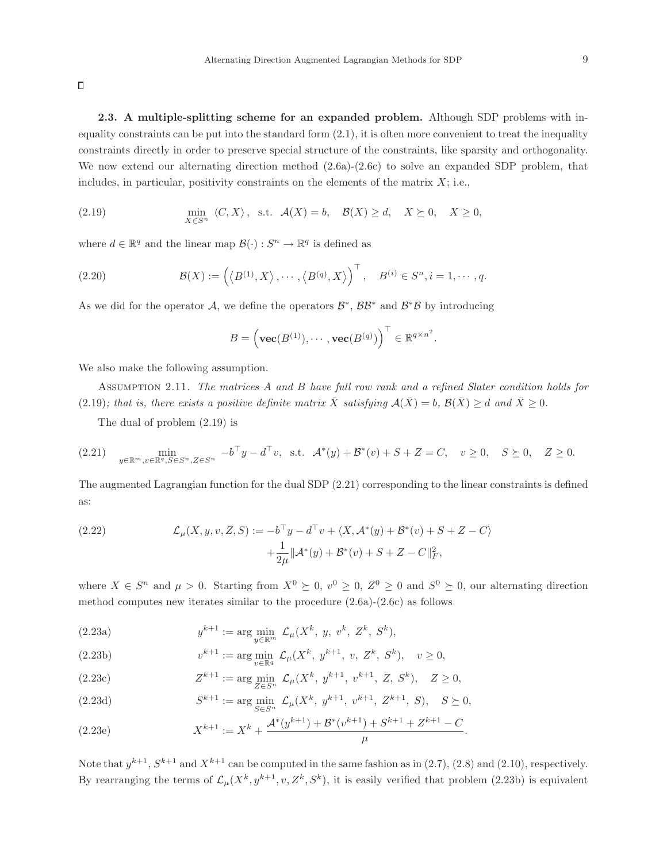$\Box$ 

2.3. A multiple-splitting scheme for an expanded problem. Although SDP problems with inequality constraints can be put into the standard form  $(2.1)$ , it is often more convenient to treat the inequality constraints directly in order to preserve special structure of the constraints, like sparsity and orthogonality. We now extend our alternating direction method  $(2.6a)-(2.6c)$  to solve an expanded SDP problem, that includes, in particular, positivity constraints on the elements of the matrix  $X$ ; i.e.,

(2.19) 
$$
\min_{X \in S^n} \langle C, X \rangle, \text{ s.t. } \mathcal{A}(X) = b, \quad \mathcal{B}(X) \ge d, \quad X \succeq 0, \quad X \ge 0,
$$

where  $d \in \mathbb{R}^q$  and the linear map  $\mathcal{B}(\cdot) : S^n \to \mathbb{R}^q$  is defined as

(2.20) 
$$
\mathcal{B}(X) := \left( \langle B^{(1)}, X \rangle, \cdots, \langle B^{(q)}, X \rangle \right)^{\top}, \quad B^{(i)} \in S^n, i = 1, \cdots, q.
$$

As we did for the operator  $A$ , we define the operators  $\mathcal{B}^*, \mathcal{B}\mathcal{B}^*$  and  $\mathcal{B}^*\mathcal{B}$  by introducing

$$
B = \left(\mathbf{vec}(B^{(1)}), \cdots, \mathbf{vec}(B^{(q)})\right)^{\top} \in \mathbb{R}^{q \times n^2}.
$$

We also make the following assumption.

Assumption 2.11. *The matrices* A *and* B *have full row rank and a refined Slater condition holds for* (2.19)*; that is, there exists a positive definite matrix*  $\overline{X}$  *satisfying*  $\mathcal{A}(\overline{X}) = b$ ,  $\mathcal{B}(\overline{X}) \geq d$  *and*  $\overline{X} \geq 0$ *.* 

The dual of problem (2.19) is

$$
(2.21) \quad \min_{y \in \mathbb{R}^m, v \in \mathbb{R}^q, S \in S^n, Z \in S^n} \ -b^\top y - d^\top v, \text{ s.t. } \mathcal{A}^*(y) + \mathcal{B}^*(v) + S + Z = C, \quad v \ge 0, \quad S \succeq 0, \quad Z \ge 0.
$$

The augmented Lagrangian function for the dual SDP (2.21) corresponding to the linear constraints is defined as:

(2.22) 
$$
\mathcal{L}_{\mu}(X, y, v, Z, S) := -b^{\top}y - d^{\top}v + \langle X, \mathcal{A}^*(y) + \mathcal{B}^*(v) + S + Z - C \rangle \n+ \frac{1}{2\mu} ||\mathcal{A}^*(y) + \mathcal{B}^*(v) + S + Z - C||_F^2,
$$

where  $X \in S^n$  and  $\mu > 0$ . Starting from  $X^0 \succeq 0$ ,  $v^0 \geq 0$ ,  $Z^0 \geq 0$  and  $S^0 \succeq 0$ , our alternating direction method computes new iterates similar to the procedure (2.6a)-(2.6c) as follows

(2.23a) 
$$
y^{k+1} := \arg \min_{y \in \mathbb{R}^m} \mathcal{L}_{\mu}(X^k, y, v^k, Z^k, S^k),
$$

(2.23b) 
$$
v^{k+1} := \arg\min_{v \in \mathbb{R}^q} \mathcal{L}_{\mu}(X^k, y^{k+1}, v, Z^k, S^k), \quad v \ge 0,
$$

(2.23c) 
$$
Z^{k+1} := \arg\min_{Z \in S^n} \mathcal{L}_{\mu}(X^k, y^{k+1}, v^{k+1}, Z, S^k), \quad Z \ge 0,
$$

(2.23d) 
$$
S^{k+1} := \arg\min_{S \in S^n} \mathcal{L}_{\mu}(X^k, y^{k+1}, v^{k+1}, Z^{k+1}, S), \quad S \succeq 0,
$$

(2.23e) 
$$
X^{k+1} := X^k + \frac{\mathcal{A}^*(y^{k+1}) + \mathcal{B}^*(v^{k+1}) + S^{k+1} + Z^{k+1} - C}{\mu}.
$$

Note that  $y^{k+1}$ ,  $S^{k+1}$  and  $X^{k+1}$  can be computed in the same fashion as in  $(2.7)$ ,  $(2.8)$  and  $(2.10)$ , respectively. By rearranging the terms of  $\mathcal{L}_{\mu}(X^k, y^{k+1}, v, Z^k, S^k)$ , it is easily verified that problem (2.23b) is equivalent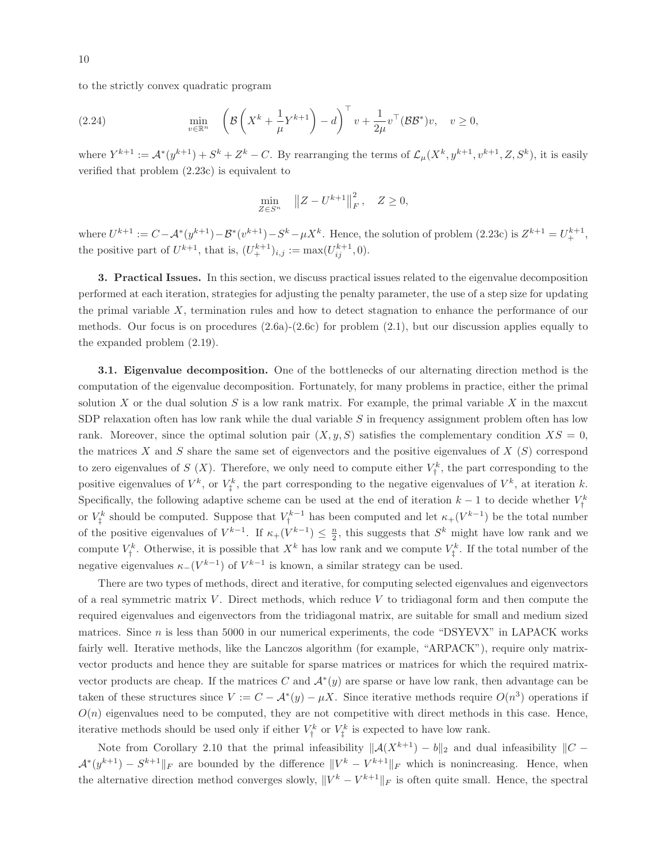to the strictly convex quadratic program

(2.24) 
$$
\min_{v \in \mathbb{R}^n} \left( \mathcal{B} \left( X^k + \frac{1}{\mu} Y^{k+1} \right) - d \right)^{\top} v + \frac{1}{2\mu} v^{\top} (\mathcal{B} \mathcal{B}^*) v, \quad v \ge 0,
$$

where  $Y^{k+1} := \mathcal{A}^*(y^{k+1}) + S^k + Z^k - C$ . By rearranging the terms of  $\mathcal{L}_{\mu}(X^k, y^{k+1}, v^{k+1}, Z, S^k)$ , it is easily verified that problem (2.23c) is equivalent to

$$
\min_{Z \in S^n} \|Z - U^{k+1}\|_F^2, \quad Z \ge 0,
$$

where  $U^{k+1} := C - A^{*}(y^{k+1}) - B^{*}(v^{k+1}) - S^{k} - \mu X^{k}$ . Hence, the solution of problem  $(2.23c)$  is  $Z^{k+1} = U_{+}^{k+1}$ , the positive part of  $U^{k+1}$ , that is,  $(U^{k+1}_+)_{i,j} := \max(U^{k+1}_{ij}, 0)$ .

3. Practical Issues. In this section, we discuss practical issues related to the eigenvalue decomposition performed at each iteration, strategies for adjusting the penalty parameter, the use of a step size for updating the primal variable X, termination rules and how to detect stagnation to enhance the performance of our methods. Our focus is on procedures  $(2.6a)-(2.6c)$  for problem  $(2.1)$ , but our discussion applies equally to the expanded problem (2.19).

3.1. Eigenvalue decomposition. One of the bottlenecks of our alternating direction method is the computation of the eigenvalue decomposition. Fortunately, for many problems in practice, either the primal solution X or the dual solution  $S$  is a low rank matrix. For example, the primal variable  $X$  in the maxcut SDP relaxation often has low rank while the dual variable  $S$  in frequency assignment problem often has low rank. Moreover, since the optimal solution pair  $(X, y, S)$  satisfies the complementary condition  $XS = 0$ , the matrices X and S share the same set of eigenvectors and the positive eigenvalues of  $X(S)$  correspond to zero eigenvalues of  $S(X)$ . Therefore, we only need to compute either  $V_t^k$  $\tau_{\dagger}^{\kappa}$ , the part corresponding to the positive eigenvalues of  $V^k$ , or  $V^k$  $Y^k$ , the part corresponding to the negative eigenvalues of  $V^k$ , at iteration k. Specifically, the following adaptive scheme can be used at the end of iteration  $k-1$  to decide whether  $V^k$ or  $V_1^k$  should be computed. Suppose that  $V_1^{k-1}$  has been computed and let  $\kappa_+(V^{k-1})$  be the total number of the positive eigenvalues of  $V^{k-1}$ . If  $\kappa_+(V^{k-1}) \leq \frac{n}{2}$ , this suggests that  $S^k$  might have low rank and we compute  $V^k_i$  $V^k$ . Otherwise, it is possible that  $X^k$  has low rank and we compute  $V^k$  $\int_{\frac{1}{4}}^{\infty}$ . If the total number of the negative eigenvalues  $\kappa_{-}(V^{k-1})$  of  $V^{k-1}$  is known, a similar strategy can be used.

There are two types of methods, direct and iterative, for computing selected eigenvalues and eigenvectors of a real symmetric matrix  $V$ . Direct methods, which reduce  $V$  to tridiagonal form and then compute the required eigenvalues and eigenvectors from the tridiagonal matrix, are suitable for small and medium sized matrices. Since  $n$  is less than 5000 in our numerical experiments, the code "DSYEVX" in LAPACK works fairly well. Iterative methods, like the Lanczos algorithm (for example, "ARPACK"), require only matrixvector products and hence they are suitable for sparse matrices or matrices for which the required matrixvector products are cheap. If the matrices C and  $\mathcal{A}^*(y)$  are sparse or have low rank, then advantage can be taken of these structures since  $V := C - \mathcal{A}^*(y) - \mu X$ . Since iterative methods require  $O(n^3)$  operations if  $O(n)$  eigenvalues need to be computed, they are not competitive with direct methods in this case. Hence, iterative methods should be used only if either  $V_{\dagger}^k$  $\zeta^k$  or  $V^k_\ddag$  $\tau_{\ddagger}^{k}$  is expected to have low rank.

Note from Corollary 2.10 that the primal infeasibility  $||A(X^{k+1}) - b||_2$  and dual infeasibility  $||C - b||_2$  $\mathcal{A}^*(y^{k+1}) - S^{k+1}||_F$  are bounded by the difference  $||V^k - V^{k+1}||_F$  which is nonincreasing. Hence, when the alternative direction method converges slowly,  $||V^k - V^{k+1}||_F$  is often quite small. Hence, the spectral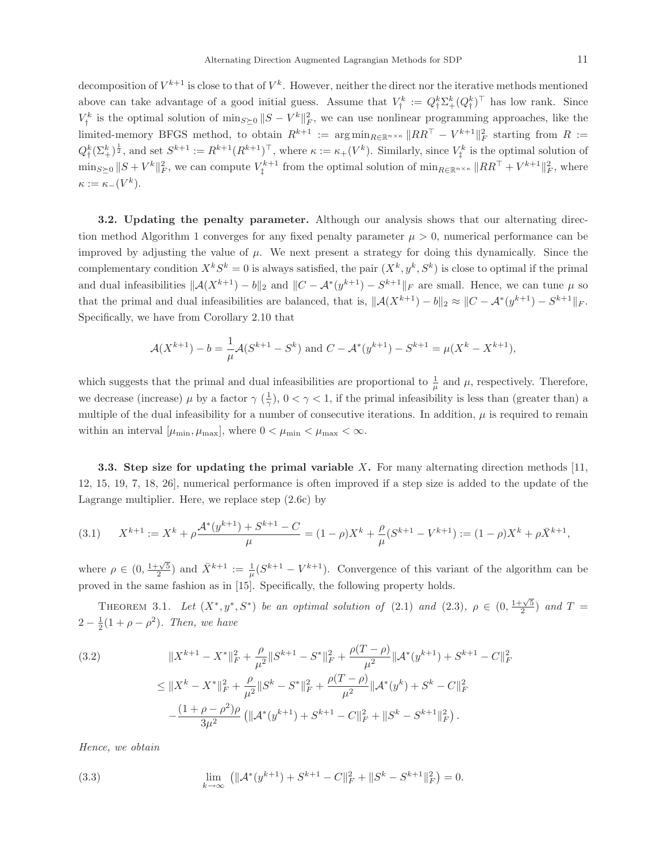decomposition of  $V^{k+1}$  is close to that of  $V^k$ . However, neither the direct nor the iterative methods mentioned above can take advantage of a good initial guess. Assume that  $V^k_\dagger := Q^k_\dagger \Sigma^k_\dagger (Q^k_\dagger)^\top$  has low rank. Since  $V_i^k$  is the optimal solution of  $\min_{S \succ 0} ||S - V^k||_F^2$ , we can use nonlinear programm <sup> $k_k^k$ </sup> is the optimal solution of  $\min_{S\geq 0} ||S - V^k||_F^2$ , we can use nonlinear programming approaches, like the limited-memory BFGS method, to obtain  $R^{k+1}$  :=  $\arg \min_{R \in \mathbb{R}^{n \times \kappa}} \|RR^{\top} - V^{k+1} \|_F^2$  starting from  $R$  :=  $Q_1^k(\Sigma_+^k)^{\frac{1}{2}}$ , and set  $S^{k+1} := R^{k+1}(R^{k+1})^{\top}$ , where  $\kappa := \kappa_+(V^k)$ . Similarly, since  $V_1^k$  $\zeta^k$  is the optimal solution of  $\min_{S\succeq 0} ||S + V^k||_F^2$ , we can compute  $V_{\ddagger}^{k+1}$ <sup> $k+1$ </sup> from the optimal solution of  $\min_{R \in \mathbb{R}^{n \times \kappa}} \|RR^{\top} + V^{k+1} \|_{F}^{2}$ , where  $\kappa := \kappa_-(V^k).$ 

3.2. Updating the penalty parameter. Although our analysis shows that our alternating direction method Algorithm 1 converges for any fixed penalty parameter  $\mu > 0$ , numerical performance can be improved by adjusting the value of  $\mu$ . We next present a strategy for doing this dynamically. Since the complementary condition  $X^k S^k = 0$  is always satisfied, the pair  $(X^k, y^k, S^k)$  is close to optimal if the primal and dual infeasibilities  $\|\mathcal{A}(X^{k+1}) - b\|_2$  and  $\|C - \mathcal{A}^*(y^{k+1}) - S^{k+1}\|_F$  are small. Hence, we can tune  $\mu$  so that the primal and dual infeasibilities are balanced, that is,  $\|\mathcal{A}(X^{k+1}) - b\|_2 \approx \|C - \mathcal{A}^*(y^{k+1}) - S^{k+1}\|_F$ . Specifically, we have from Corollary 2.10 that

$$
\mathcal{A}(X^{k+1}) - b = \frac{1}{\mu} \mathcal{A}(S^{k+1} - S^k) \text{ and } C - \mathcal{A}^*(y^{k+1}) - S^{k+1} = \mu(X^k - X^{k+1}),
$$

which suggests that the primal and dual infeasibilities are proportional to  $\frac{1}{\mu}$  and  $\mu$ , respectively. Therefore, we decrease (increase)  $\mu$  by a factor  $\gamma$  ( $\frac{1}{\gamma}$ ),  $0 < \gamma < 1$ , if the primal infeasibility is less than (greater than) a multiple of the dual infeasibility for a number of consecutive iterations. In addition,  $\mu$  is required to remain within an interval  $[\mu_{\min}, \mu_{\max}]$ , where  $0 < \mu_{\min} < \mu_{\max} < \infty$ .

3.3. Step size for updating the primal variable X. For many alternating direction methods  $[11]$ , 12, 15, 19, 7, 18, 26], numerical performance is often improved if a step size is added to the update of the Lagrange multiplier. Here, we replace step (2.6c) by

$$
(3.1) \qquad X^{k+1} := X^k + \rho \frac{\mathcal{A}^*(y^{k+1}) + S^{k+1} - C}{\mu} = (1 - \rho)X^k + \frac{\rho}{\mu}(S^{k+1} - V^{k+1}) := (1 - \rho)X^k + \rho \bar{X}^{k+1},
$$

where  $\rho \in (0, \frac{1+\sqrt{5}}{2})$  and  $\bar{X}^{k+1} := \frac{1}{\mu}(S^{k+1} - V^{k+1})$ . Convergence of this variant of the algorithm can be proved in the same fashion as in [15]. Specifically, the following property holds.

THEOREM 3.1. Let  $(X^*, y^*, S^*)$  be an optimal solution of (2.1) and (2.3),  $\rho \in (0, \frac{1+\sqrt{5}}{2})$  and  $T =$  $2 - \frac{1}{2}(1 + \rho - \rho^2)$ *. Then, we have* 

(3.2)  
\n
$$
||X^{k+1} - X^*||_F^2 + \frac{\rho}{\mu^2} ||S^{k+1} - S^*||_F^2 + \frac{\rho(T - \rho)}{\mu^2} ||\mathcal{A}^*(y^{k+1}) + S^{k+1} - C||_F^2
$$
\n
$$
\leq ||X^k - X^*||_F^2 + \frac{\rho}{\mu^2} ||S^k - S^*||_F^2 + \frac{\rho(T - \rho)}{\mu^2} ||\mathcal{A}^*(y^k) + S^k - C||_F^2
$$
\n
$$
-\frac{(1 + \rho - \rho^2)\rho}{3\mu^2} (||\mathcal{A}^*(y^{k+1}) + S^{k+1} - C||_F^2 + ||S^k - S^{k+1}||_F^2).
$$

*Hence, we obtain*

(3.3) 
$$
\lim_{k \to \infty} (||\mathcal{A}^*(y^{k+1}) + S^{k+1} - C||_F^2 + ||S^k - S^{k+1}||_F^2) = 0.
$$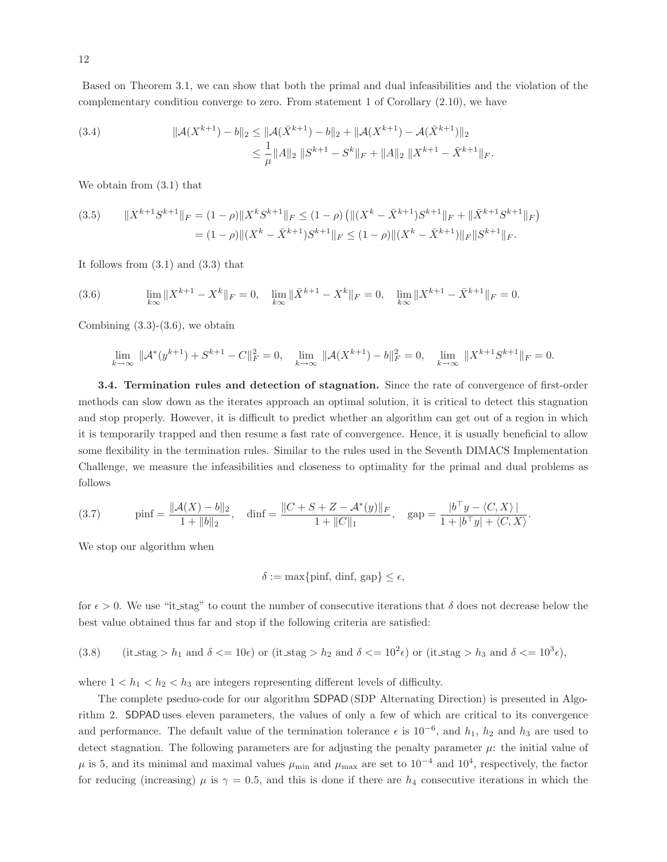Based on Theorem 3.1, we can show that both the primal and dual infeasibilities and the violation of the complementary condition converge to zero. From statement 1 of Corollary (2.10), we have

(3.4) 
$$
\|\mathcal{A}(X^{k+1}) - b\|_2 \le \|\mathcal{A}(\bar{X}^{k+1}) - b\|_2 + \|\mathcal{A}(X^{k+1}) - \mathcal{A}(\bar{X}^{k+1})\|_2
$$

$$
\le \frac{1}{\mu} \|A\|_2 \|S^{k+1} - S^k\|_F + \|A\|_2 \|X^{k+1} - \bar{X}^{k+1}\|_F.
$$

We obtain from (3.1) that

$$
(3.5) \qquad \|X^{k+1}S^{k+1}\|_F = (1-\rho)\|X^kS^{k+1}\|_F \le (1-\rho)\left(\|(X^k - \bar{X}^{k+1})S^{k+1}\|_F + \|\bar{X}^{k+1}S^{k+1}\|_F\right)
$$

$$
= (1-\rho)\|(X^k - \bar{X}^{k+1})S^{k+1}\|_F \le (1-\rho)\|(X^k - \bar{X}^{k+1})\|_F \|S^{k+1}\|_F.
$$

It follows from  $(3.1)$  and  $(3.3)$  that

(3.6) 
$$
\lim_{k \to \infty} \|X^{k+1} - X^k\|_F = 0, \quad \lim_{k \to \infty} \|\bar{X}^{k+1} - X^k\|_F = 0, \quad \lim_{k \to \infty} \|X^{k+1} - \bar{X}^{k+1}\|_F = 0.
$$

Combining  $(3.3)-(3.6)$ , we obtain

$$
\lim_{k \to \infty} \|\mathcal{A}^*(y^{k+1}) + S^{k+1} - C\|_F^2 = 0, \quad \lim_{k \to \infty} \|\mathcal{A}(X^{k+1}) - b\|_F^2 = 0, \quad \lim_{k \to \infty} \|X^{k+1}S^{k+1}\|_F = 0.
$$

3.4. Termination rules and detection of stagnation. Since the rate of convergence of first-order methods can slow down as the iterates approach an optimal solution, it is critical to detect this stagnation and stop properly. However, it is difficult to predict whether an algorithm can get out of a region in which it is temporarily trapped and then resume a fast rate of convergence. Hence, it is usually beneficial to allow some flexibility in the termination rules. Similar to the rules used in the Seventh DIMACS Implementation Challenge, we measure the infeasibilities and closeness to optimality for the primal and dual problems as follows

(3.7) 
$$
\text{pinf} = \frac{\|A(X) - b\|_2}{1 + \|b\|_2}, \quad \text{dinf} = \frac{\|C + S + Z - A^*(y)\|_F}{1 + \|C\|_1}, \quad \text{gap} = \frac{|b^\top y - \langle C, X \rangle|}{1 + |b^\top y| + \langle C, X \rangle}.
$$

We stop our algorithm when

$$
\delta := \max\{\text{pinf, } \text{dinf, } \text{gap}\} \leq \epsilon,
$$

for  $\epsilon > 0$ . We use "it stag" to count the number of consecutive iterations that  $\delta$  does not decrease below the best value obtained thus far and stop if the following criteria are satisfied:

(3.8) (it<sub>stag</sub> > h<sub>1</sub> and 
$$
\delta \le 10\epsilon
$$
) or (it<sub>stag</sub> > h<sub>2</sub> and  $\delta \le 10^2\epsilon$ ) or (it<sub>stag</sub> > h<sub>3</sub> and  $\delta \le 10^3\epsilon$ ),

where  $1 < h_1 < h_2 < h_3$  are integers representing different levels of difficulty.

The complete pseduo-code for our algorithm SDPAD (SDP Alternating Direction) is presented in Algorithm 2. SDPAD uses eleven parameters, the values of only a few of which are critical to its convergence and performance. The default value of the termination tolerance  $\epsilon$  is 10<sup>-6</sup>, and  $h_1$ ,  $h_2$  and  $h_3$  are used to detect stagnation. The following parameters are for adjusting the penalty parameter  $\mu$ : the initial value of  $\mu$  is 5, and its minimal and maximal values  $\mu_{\min}$  and  $\mu_{\max}$  are set to 10<sup>-4</sup> and 10<sup>4</sup>, respectively, the factor for reducing (increasing)  $\mu$  is  $\gamma = 0.5$ , and this is done if there are  $h_4$  consecutive iterations in which the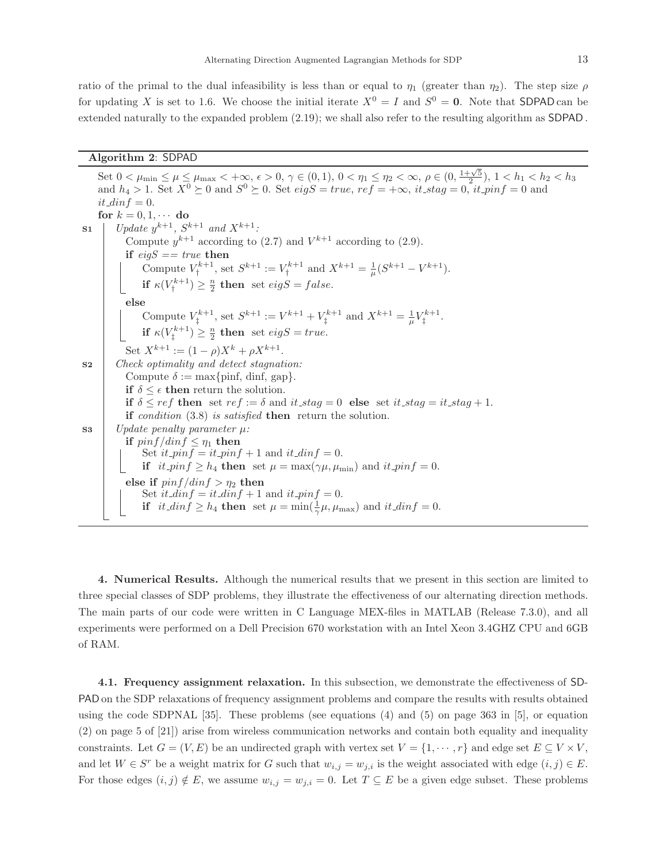ratio of the primal to the dual infeasibility is less than or equal to  $\eta_1$  (greater than  $\eta_2$ ). The step size  $\rho$ for updating X is set to 1.6. We choose the initial iterate  $X^0 = I$  and  $S^0 = 0$ . Note that SDPAD can be extended naturally to the expanded problem (2.19); we shall also refer to the resulting algorithm as SDPAD .

#### Algorithm 2: SDPAD

Set  $0 < \mu_{\min} \leq \mu \leq \mu_{\max} < +\infty$ ,  $\epsilon > 0$ ,  $\gamma \in (0, 1)$ ,  $0 < \eta_1 \leq \eta_2 < \infty$ ,  $\rho \in (0, \frac{1+\sqrt{5}}{2})$ ,  $1 < h_1 < h_2 < h_3$ and  $h_4 > 1$ . Set  $X^0 \ge 0$  and  $S^0 \ge 0$ . Set  $eigS = true$ ,  $ref = +\infty$ ,  $it\_stag = 0$ ,  $it\_pinf = 0$  and  $it\_dinf = 0.$ for  $k = 0, 1, \cdots$  do  $\text{S1}$  | *Update*  $y^{k+1}$ *, S*<sup>k+1</sup> *and*  $X^{k+1}$ *:* Compute  $y^{k+1}$  according to (2.7) and  $V^{k+1}$  according to (2.9). if *eigS == true* then Compute  $V^{k+1}_+$  $S^{k+1}$ , set  $S^{k+1} := V^{k+1}_{\dagger}$  $X^{k+1}$  and  $X^{k+1} = \frac{1}{\mu}(S^{k+1} - V^{k+1}).$ if  $\kappa(V_\dagger^{k+1}$  $\binom{k+1}{1} \geq \frac{n}{2}$  then set  $eigS = false$ . else Compute  $V^{k+1}_+$  $S^{k+1}$ , set  $S^{k+1} := V^{k+1} + V^{k+1}$  $X^{k+1}$  and  $X^{k+1} = \frac{1}{\mu} V_{\ddagger}^{k+1}$ ‡ . if  $\kappa(V_\dagger^{k+1}$  $\binom{n}{k+1} \geq \frac{n}{2}$  then set  $eigS = true$ . Set  $X^{k+1} := (1 - \rho)X^k + \rho X^{k+1}.$ S2 *Check optimality and detect stagnation:* Compute  $\delta := \max\{\text{pinf, } \text{dinf, } \text{gap}\}.$ if  $\delta \leq \epsilon$  then return the solution. if  $\delta \leq ref$  then set  $ref := \delta$  and  $it\_stag = 0$  else set  $it\_stag = it\_stag + 1$ . if *condition* (3.8) *is satisfied* then return the solution.  $\mathbf{S3}$  | Update penalty parameter  $\mu$ : if  $\frac{pinf}{dim f} \leq \eta_1$  then<br>Set  $it\_pinf = it\_pinf + 1$  and  $it\_dinf = 0$ . if  $it\_pinf \geq h_4$  then set  $\mu = \max(\gamma \mu, \mu_{\min})$  and  $it\_pinf = 0$ . else if  $pinf/dinf > \eta_2$  then Set  $it\_dinf = it\_dinf + 1$  and  $it\_pinf = 0$ . if  $it\_dinf \geq h_4$  then set  $\mu = \min(\frac{1}{\gamma}\mu, \mu_{\max})$  and  $it\_dinf = 0$ .

4. Numerical Results. Although the numerical results that we present in this section are limited to three special classes of SDP problems, they illustrate the effectiveness of our alternating direction methods. The main parts of our code were written in C Language MEX-files in MATLAB (Release 7.3.0), and all experiments were performed on a Dell Precision 670 workstation with an Intel Xeon 3.4GHZ CPU and 6GB of RAM.

4.1. Frequency assignment relaxation. In this subsection, we demonstrate the effectiveness of SD-PAD on the SDP relaxations of frequency assignment problems and compare the results with results obtained using the code SDPNAL [35]. These problems (see equations (4) and (5) on page 363 in [5], or equation (2) on page 5 of [21]) arise from wireless communication networks and contain both equality and inequality constraints. Let  $G = (V, E)$  be an undirected graph with vertex set  $V = \{1, \dots, r\}$  and edge set  $E \subseteq V \times V$ , and let  $W \in S^r$  be a weight matrix for G such that  $w_{i,j} = w_{j,i}$  is the weight associated with edge  $(i, j) \in E$ . For those edges  $(i, j) \notin E$ , we assume  $w_{i,j} = w_{j,i} = 0$ . Let  $T \subseteq E$  be a given edge subset. These problems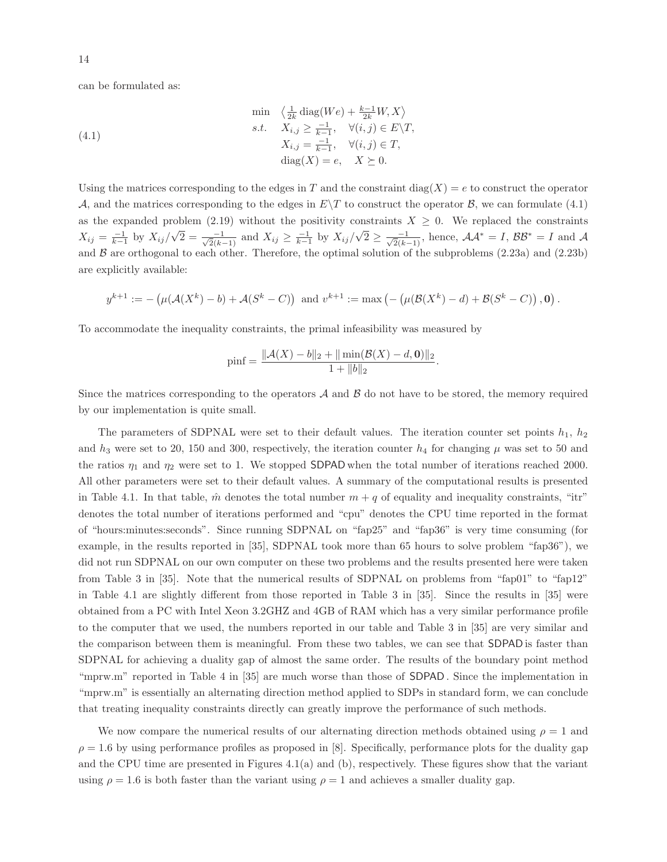can be formulated as:

(4.1)  
\n
$$
\min \left\{ \frac{1}{2k} \operatorname{diag}(We) + \frac{k-1}{2k} W, X \right\}
$$
\n
$$
s.t. \quad X_{i,j} \ge \frac{-1}{k-1}, \quad \forall (i,j) \in E \setminus T,
$$
\n
$$
X_{i,j} = \frac{-1}{k-1}, \quad \forall (i,j) \in T,
$$
\n
$$
\operatorname{diag}(X) = e, \quad X \succeq 0.
$$

Using the matrices corresponding to the edges in T and the constraint diag(X) = e to construct the operator A, and the matrices corresponding to the edges in  $E\setminus T$  to construct the operator B, we can formulate (4.1) as the expanded problem (2.19) without the positivity constraints  $X \geq 0$ . We replaced the constraints  $X_{ij} = \frac{-1}{k-1}$  by  $X_{ij}/\sqrt{2} = \frac{-1}{\sqrt{2}(k-1)}$  and  $X_{ij} \ge \frac{-1}{k-1}$  by  $X_{ij}/\sqrt{2} \ge \frac{-1}{\sqrt{2}(k-1)}$ , hence,  $\mathcal{AA}^* = I$ ,  $\mathcal{BB}^* = I$  and  $\mathcal{AA}$ and  $\beta$  are orthogonal to each other. Therefore, the optimal solution of the subproblems (2.23a) and (2.23b) are explicitly available:

$$
y^{k+1} := -(\mu(\mathcal{A}(X^k) - b) + \mathcal{A}(S^k - C))
$$
 and  $v^{k+1} := \max(-(\mu(\mathcal{B}(X^k) - d) + \mathcal{B}(S^k - C)), 0).$ 

To accommodate the inequality constraints, the primal infeasibility was measured by

$$
\text{pinf} = \frac{\| \mathcal{A}(X) - b \|_2 + \| \min(\mathcal{B}(X) - d, \mathbf{0}) \|_2}{1 + \| b \|_2}.
$$

Since the matrices corresponding to the operators  $A$  and  $B$  do not have to be stored, the memory required by our implementation is quite small.

The parameters of SDPNAL were set to their default values. The iteration counter set points  $h_1$ ,  $h_2$ and  $h_3$  were set to 20, 150 and 300, respectively, the iteration counter  $h_4$  for changing  $\mu$  was set to 50 and the ratios  $\eta_1$  and  $\eta_2$  were set to 1. We stopped SDPAD when the total number of iterations reached 2000. All other parameters were set to their default values. A summary of the computational results is presented in Table 4.1. In that table,  $\hat{m}$  denotes the total number  $m + q$  of equality and inequality constraints, "itr" denotes the total number of iterations performed and "cpu" denotes the CPU time reported in the format of "hours:minutes:seconds". Since running SDPNAL on "fap25" and "fap36" is very time consuming (for example, in the results reported in [35], SDPNAL took more than 65 hours to solve problem "fap36"), we did not run SDPNAL on our own computer on these two problems and the results presented here were taken from Table 3 in [35]. Note that the numerical results of SDPNAL on problems from "fap01" to "fap12" in Table 4.1 are slightly different from those reported in Table 3 in [35]. Since the results in [35] were obtained from a PC with Intel Xeon 3.2GHZ and 4GB of RAM which has a very similar performance profile to the computer that we used, the numbers reported in our table and Table 3 in [35] are very similar and the comparison between them is meaningful. From these two tables, we can see that SDPAD is faster than SDPNAL for achieving a duality gap of almost the same order. The results of the boundary point method "mprw.m" reported in Table 4 in [35] are much worse than those of **SDPAD**. Since the implementation in "mprw.m" is essentially an alternating direction method applied to SDPs in standard form, we can conclude that treating inequality constraints directly can greatly improve the performance of such methods.

We now compare the numerical results of our alternating direction methods obtained using  $\rho = 1$  and  $\rho = 1.6$  by using performance profiles as proposed in [8]. Specifically, performance plots for the duality gap and the CPU time are presented in Figures 4.1(a) and (b), respectively. These figures show that the variant using  $\rho = 1.6$  is both faster than the variant using  $\rho = 1$  and achieves a smaller duality gap.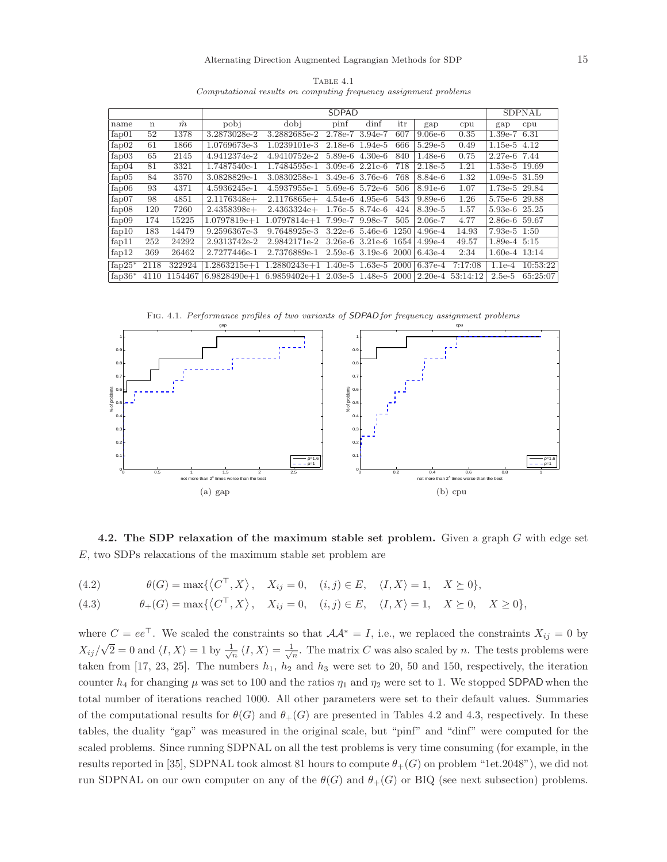|            |             |           |               | <b>SDPNAL</b>                                                                    |                   |                     |     |           |         |                   |                     |
|------------|-------------|-----------|---------------|----------------------------------------------------------------------------------|-------------------|---------------------|-----|-----------|---------|-------------------|---------------------|
| name       | $\mathbf n$ | $\hat{m}$ | pobi          | dobi                                                                             | $\pi$             | dinf                | itr | gap       | cpu     | gap               | cpu                 |
| fap01      | 52          | 1378      | 3.2873028e-2  | 3.2882685e-2                                                                     | 2.78e-7 3.94e-7   |                     | 607 | $9.06e-6$ | 0.35    | $1.39e-7$ 6.31    |                     |
| fap02      | 61          | 1866      | 1.0769673e-3  | 1.0239101e-3                                                                     |                   | $2.18e-6$ 1.94e-5   | 666 | $5.29e-5$ | 0.49    | $1.15e-5$ 4.12    |                     |
| fap03      | 65          | 2145      | 4.9412374e-2  | 4.9410752e-2                                                                     |                   | $5.89e-6$ $4.30e-6$ | 840 | $1.48e-6$ | 0.75    | 2.27e-6 7.44      |                     |
| fa $p04$   | 81          | 3321      | 1.7487540e-1  | 1.7484595e-1                                                                     |                   | $3.09e-6$ $2.21e-6$ | 718 | $2.18e-5$ | 1.21    | 1.53e-5 19.69     |                     |
| fap05      | 84          | 3570      | 3.0828829e-1  | 3.0830258e-1 3.49e-6 3.76e-6                                                     |                   |                     | 768 | 8.84e-6   | 1.32    | $1.09e-5$ 31.59   |                     |
| fap06      | 93          | 4371      | 4.5936245e-1  | 4.5937955e-1 5.69e-6 5.72e-6                                                     |                   |                     | 506 | 8.91e-6   | 1.07    | 1.73e-5 29.84     |                     |
| fap07      | 98          | 4851      | $2.1176348e+$ | $2.1176865e+$                                                                    |                   | $4.54e-6$ $4.95e-6$ | 543 | $9.89e-6$ | 1.26    | 5.75e-6 29.88     |                     |
| fap08      | 120         | 7260      | $2.4358398e+$ | $2.4363324e+$                                                                    | $1.76e-5$ 8.74e-6 |                     | 424 | 8.39e-5   | 1.57    | 5.93e-6 25.25     |                     |
| fap09      | 174         | 15225     |               | $1.0797819e+1$ $1.0797814e+1$ $7.99e-7$ $9.98e-7$                                |                   |                     | 505 | $2.06e-7$ | 4.77    | 2.86e-6 59.67     |                     |
| fap10      | 183         | 14479     | 9.2596367e-3  | $9.7648925e-3$ $3.22e-6$ $5.46e-6$ $1250 4.96e-4$                                |                   |                     |     |           | 14.93   | $7.93e-5$ 1:50    |                     |
| fap11      | 252         | 24292     | 2.9313742e-2  | 2.9842171e-2 3.26e-6 3.21e-6 1654 4.99e-4                                        |                   |                     |     |           | 49.57   | $1.89e-4$ 5:15    |                     |
| fap $12$   | 369         | 26462     | 2.7277446e-1  | $2.7376889e-1$ $2.59e-6$ $3.19e-6$ $2000 6.43e-4$                                |                   |                     |     |           | 2:34    | $1.60e-4$ $13:14$ |                     |
| fap $25^*$ | 2118        | 322924    |               | $1.2863215e+1$ $1.2880243e+1$ $1.40e-5$ $1.63e-5$ $2000 6.37e-4$                 |                   |                     |     |           | 7:17:08 |                   | $1.1e-4$ $10:53:22$ |
| fap $36*$  |             |           |               | $4110$ $1154467$ 6.9828490e+1 6.9859402e+1 2.03e-5 1.48e-5 2000 2.20e-4 53:14:12 |                   |                     |     |           |         |                   | 2.5e-5 65:25:07     |

TABLE 4.1 *Computational results on computing frequency assignment problems*

Fig. 4.1. *Performance profiles of two variants of* SDPAD *for frequency assignment problems*



4.2. The SDP relaxation of the maximum stable set problem. Given a graph  $G$  with edge set E, two SDPs relaxations of the maximum stable set problem are

(4.2) 
$$
\theta(G) = \max\{\langle C^\top, X \rangle, X_{ij} = 0, (i,j) \in E, \langle I, X \rangle = 1, X \succeq 0\},\
$$

(4.3) 
$$
\theta_+(G) = \max\{\langle C^\top, X\rangle, X_{ij} = 0, (i,j) \in E, \langle I, X\rangle = 1, X \succeq 0, X \ge 0\},\
$$

where  $C = ee^{\top}$ . We scaled the constraints so that  $\mathcal{A}\mathcal{A}^* = I$ , i.e., we replaced the constraints  $X_{ij} = 0$  by  $X_{ij}/\sqrt{2} = 0$  and  $\langle I, X \rangle = 1$  by  $\frac{1}{\sqrt{n}} \langle I, X \rangle = \frac{1}{\sqrt{n}}$ . The matrix C was also scaled by n. The tests problems were taken from [17, 23, 25]. The numbers  $h_1$ ,  $h_2$  and  $h_3$  were set to 20, 50 and 150, respectively, the iteration counter  $h_4$  for changing  $\mu$  was set to 100 and the ratios  $\eta_1$  and  $\eta_2$  were set to 1. We stopped SDPAD when the total number of iterations reached 1000. All other parameters were set to their default values. Summaries of the computational results for  $\theta(G)$  and  $\theta_+(G)$  are presented in Tables 4.2 and 4.3, respectively. In these tables, the duality "gap" was measured in the original scale, but "pinf" and "dinf" were computed for the scaled problems. Since running SDPNAL on all the test problems is very time consuming (for example, in the results reported in [35], SDPNAL took almost 81 hours to compute  $\theta_{+}(G)$  on problem "1et.2048"), we did not run SDPNAL on our own computer on any of the  $\theta(G)$  and  $\theta_+(G)$  or BIQ (see next subsection) problems.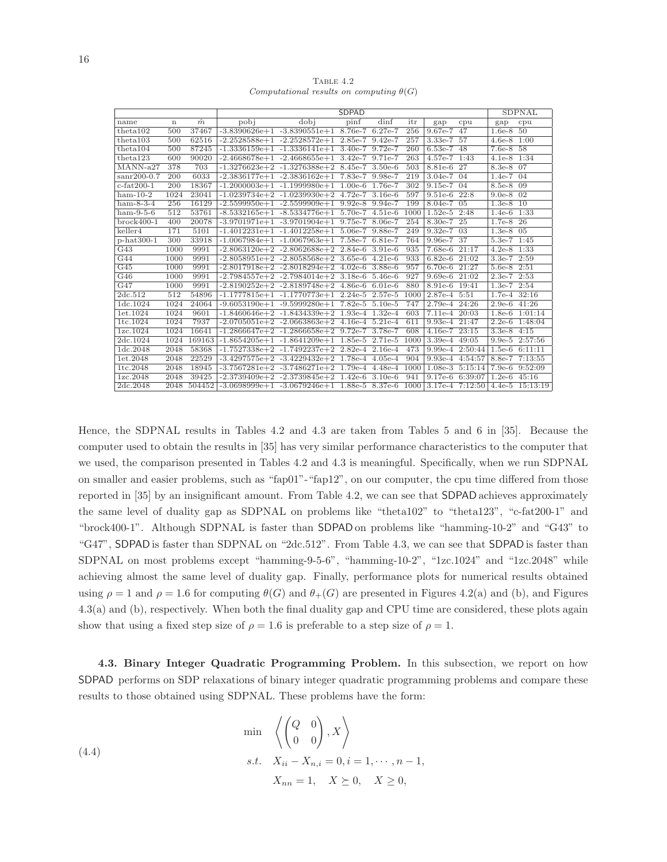(4.4)

TABLE 4.2 *Computational results on computing*  $\theta(G)$ 

|                  |                  |           |      |                                                            | <b>SDPAD</b> |           |      |                   |                            |                  | <b>SDPNAL</b>                           |
|------------------|------------------|-----------|------|------------------------------------------------------------|--------------|-----------|------|-------------------|----------------------------|------------------|-----------------------------------------|
| name             | $\mathbf n$      | $\hat{m}$ | pobj | dobi                                                       | pinf         | dinf      | itr  | gap               | cpu                        | gap              | cpu                                     |
| theta102         | 500              | 37467     |      | $-3.8390626e+1$ $-3.8390551e+1$ 8.76e-7                    |              | $6.27e-7$ | 256  | 9.67e-7           | 47                         | $1.6e-8$         | $50^{\circ}$                            |
| theta103         | 500              | 62516     |      | $-2.2528588e+1$ $-2.2528572e+1$ $2.85e-7$ 9.42e-7          |              |           | 257  | $3.33e-7$         | 57                         | $4.6e-8$         | 1:00                                    |
| theta104         | 500              | 87245     |      | $-1.3336159e+1$ $-1.3336141e+1$ $3.40e-7$ $9.72e-7$        |              |           | 260  | $6.53e-7$         | 48                         | $7.6e-8$ 58      |                                         |
| theta123         | 600              | 90020     |      | $-2.4668678e+1$ $-2.4668655e+1$ $3.42e-7$ 9.71e-7          |              |           | 263  | 4.57e-7           | 1:43                       | $4.1e-8$         | 1:34                                    |
| $MANN-a27$       | 378              | 703       |      | $-1.3276623e+2$ $-1.3276388e+2$ 8.45e-7 3.50e-6            |              |           | 503  | 8.81e-6 27        |                            | $8.3e-8$         | 07                                      |
| $san200-0.7$     | $\overline{200}$ | 6033      |      | $-2.3836177e+1$ $-2.3836162e+1$ 7.83e-7 9.98e-7            |              |           | 219  | $3.04e-7$ 04      |                            | $1.4e-7$         | $\overline{04}$                         |
| $c$ -fat $200-1$ | 200              | 18367     |      | $-1.2000003e+1$ $-1.1999980e+1$ $1.00e-6$ $1.76e-7$        |              |           | 302  | 9.15e-7           | 04                         | 8.5e-8           | 09                                      |
| $ham-10-2$       | 1024             | 23041     |      | $-1.0239734e+2$ $-1.0239930e+2$ 4.72e-7 3.16e-6            |              |           | 597  | $9.51e-6$ $22:8$  |                            | $9.0e-8$         | $\sqrt{02}$                             |
| $ham-8-3-4$      | 256              | 16129     |      | $-2.5599950e+1$ $-2.5599909e+1$ 9.92e-8 9.94e-7            |              |           | 199  | $8.04e-7$ 05      |                            | $1.3e-8$ 10      |                                         |
| $ham-9-5-6$      | 512              | 53761     |      | $-8.5332165e+1$ $-8.5334776e+1$ $5.70e-7$ $4.51e-6$        |              |           | 1000 | $1.52e-5$ $2:48$  |                            | $1.4e-6$ $1:33$  |                                         |
| $brock400-1$     | 400              | 20078     |      | $-3.9701971e+1$ $-3.9701904e+1$ 9.75e-7                    |              | 8.06e-7   | 254  | 8.30e-7           | 25                         | $1.7e-8$         | 26                                      |
| keller4          | 171              | 5101      |      | $-1.4012231e+1$ $-1.4012258e+1$ $5.06e-7$ $9.88e-7$        |              |           | 249  | $9.32e-7$ 03      |                            | $1.3e-8$ 05      |                                         |
| $p-hat300-1$     | 300              | 33918     |      | $-1.0067984e+1$ $-1.0067963e+1$ 7.58e-7 6.81e-7            |              |           | 764  | 9.96e-7 37        |                            | 5.3e-7 1:45      |                                         |
| G43              | 1000             | 9991      |      | $-2.8063120e+2 -2.8062688e+2 2.84e-6 3.91e-6$              |              |           | 935  | 7.68e-6           | 21:17                      | $4.2e-8$         | 1:33                                    |
| G44              | 1000             | 9991      |      | $-2.8058951e+2 -2.8058568e+2 3.65e-6 4.21e-6$              |              |           | 933  | $6.82e-6$ $21:02$ |                            | $3.3e-7$ $2:59$  |                                         |
| G45              | 1000             | 9991      |      | $-2.8017918e+2 -2.8018294e+2 4.02e-6 3.88e-6$              |              |           | 957  | 6.70e-6 21:27     |                            | 5.6e-8 2:51      |                                         |
| G46              | 1000             | 9991      |      | $-2.7984557e+2$ $-2.7984014e+2$ 3.18e-6 5.46e-6            |              |           | 927  | $9.69e-6$         | 21:02                      | $2.3e-7$         | 2:53                                    |
| G47              | 1000             | 9991      |      | $-2.8190252e+2$ $-2.8189748e+2$ $4.86e-6$ 6.01e-6          |              |           | 880  | $8.91e-6$         | 19:41                      | $1.3e-7$ $2:54$  |                                         |
| 2dc.512          | 512              | 54896     |      | $-1.1777815e+1$ $-1.1770773e+1$ 2.24e-5 2.57e-5            |              |           | 1000 | 2.87e-4 5:51      |                            | $1.7e-4$ $32:16$ |                                         |
| 1dc.1024         | 1024             | 24064     |      | $-9.6053190e+1 -9.5999280e+1 7.82e-5 5.10e-5$              |              |           | 747  | 2.79e-4 24:26     |                            | $2.9e-6$         | 41:26                                   |
| 1et.1024         | 1024             | 9601      |      | $-1.8460646e+2 -1.8434339e+2 1.93e-4 1.32e-4$              |              |           | 603  | 7.11e-4 20:03     |                            | $1.8e-6$         | 1:01:14                                 |
| 1tc.1024         | 1024             | 7937      |      | $-2.0705051e+2 -2.0663863e+2 4.16e-4 5.21e-4$              |              |           | 611  | 9.93e-4 21:47     |                            | $2.2e-6$         | 1:48:04                                 |
| 1zc.1024         | 1024             | 16641     |      | $-1.2866647e+2 -1.2866658e+2 9.72e-7 3.78e-7$              |              |           | 608  | 4.16e-7 23:15     |                            | $3.3e-8$         | 4:15                                    |
| 2dc.1024         | 1024             | 169163    |      | $-1.8654205e+1$ $-1.8641209e+1$ $1.85e-5$ $2.71e-5$        |              |           | 1000 | $3.39e-4$         | 49:05                      |                  | 9.9e-5 2:57:56                          |
| 1dc.2048         | 2048             | 58368     |      | $-1.7527338e+2$ $-1.7492237e+2$ 2.82e-4 2.16e-4            |              |           | 473  |                   | 9.99e-4 $2:50:44$   1.5e-6 |                  | 6:11:11                                 |
| 1et.2048         | 2048             | 22529     |      | $-3.4297575e+2$ $-3.4229432e+2$ 1.78e-4 4.05e-4            |              |           | 904  | $9.93e-4$         | 4:54:57                    | 8.8e-7           | 7:13:55                                 |
| 1tc.2048         | 2048             | 18945     |      | $-3.7567281e+2$ $-3.7486271e+2$ 1.79e-4 4.48e-4            |              |           | 1000 | $1.08e-3$         | 5:15:14                    | $7.9e-6$         | 9:52:09                                 |
| 1zc.2048         | 2048             | 39425     |      | $-2.3739409e+2$ $-2.3739845e+2$ 1.42e-6 3.10e-6            |              |           | 941  | $9.17e-6$         | $6:39:07$ 1.2e-6           |                  | 45:16                                   |
| 2dc.2048         | 2048             | 504452    |      | $-3.0698999e+1$ $-3.0679246e+1$ $1.88e-5$ $8.37e-6$ $1000$ |              |           |      |                   |                            |                  | $3.17e-4$ $7:12:50$   4.4e-5 $15:13:19$ |

Hence, the SDPNAL results in Tables 4.2 and 4.3 are taken from Tables 5 and 6 in [35]. Because the computer used to obtain the results in [35] has very similar performance characteristics to the computer that we used, the comparison presented in Tables 4.2 and 4.3 is meaningful. Specifically, when we run SDPNAL on smaller and easier problems, such as "fap01"-"fap12", on our computer, the cpu time differed from those reported in [35] by an insignificant amount. From Table 4.2, we can see that SDPAD achieves approximately the same level of duality gap as SDPNAL on problems like "theta102" to "theta123", "c-fat200-1" and "brock400-1". Although SDPNAL is faster than SDPAD on problems like "hamming-10-2" and "G43" to "G47", SDPAD is faster than SDPNAL on "2dc.512". From Table 4.3, we can see that SDPAD is faster than SDPNAL on most problems except "hamming-9-5-6", "hamming-10-2", "1zc.1024" and "1zc.2048" while achieving almost the same level of duality gap. Finally, performance plots for numerical results obtained using  $\rho = 1$  and  $\rho = 1.6$  for computing  $\theta(G)$  and  $\theta_{+}(G)$  are presented in Figures 4.2(a) and (b), and Figures 4.3(a) and (b), respectively. When both the final duality gap and CPU time are considered, these plots again show that using a fixed step size of  $\rho = 1.6$  is preferable to a step size of  $\rho = 1$ .

4.3. Binary Integer Quadratic Programming Problem. In this subsection, we report on how SDPAD performs on SDP relaxations of binary integer quadratic programming problems and compare these results to those obtained using SDPNAL. These problems have the form:

$$
\min \left\langle \begin{pmatrix} Q & 0 \\ 0 & 0 \end{pmatrix}, X \right\rangle
$$
  
s.t.  $X_{ii} - X_{n,i} = 0, i = 1, \dots, n-1,$   
 $X_{nn} = 1, X \succeq 0, X \ge 0,$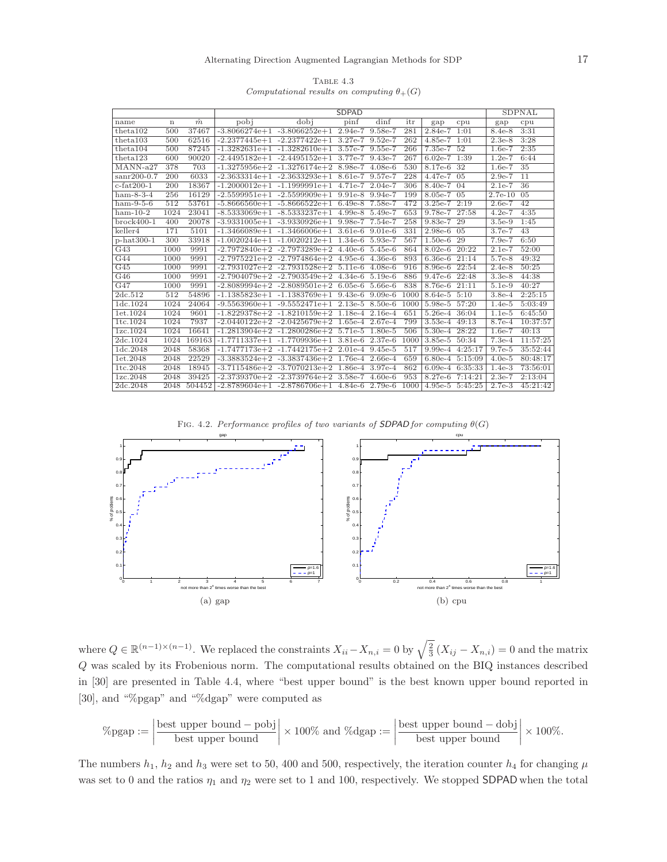|                                                    | TABLE 4.3 |  |  |
|----------------------------------------------------|-----------|--|--|
| Computational results on computing $\theta_{+}(G)$ |           |  |  |

|                  |                  |           |      |                                                          | <b>SDPAD</b> |      |      |                   |                     |           | <b>SDPNAL</b>   |
|------------------|------------------|-----------|------|----------------------------------------------------------|--------------|------|------|-------------------|---------------------|-----------|-----------------|
| name             | $\mathbf n$      | $\hat{m}$ | pobj | dobj                                                     | pinf         | dinf | itr  | gap               | cpu                 | gap       | cpu             |
| theta102         | 500              | 37467     |      | $-3.8066274e+1 -3.8066252e+1 2.94e-7 9.58e-7$            |              |      | 281  | $2.84e-7$ 1:01    |                     | $8.4e-8$  | 3:31            |
| theta103         | 500              | 62516     |      | $-2.2377445e+1$ $-2.2377422e+1$ 3.27e-7 9.52e-7          |              |      | 262  | 4.85e-7 1:01      |                     | $2.3e-8$  | 3:28            |
| theta104         | 500              | 87245     |      | $-1.3282631e+1$ $-1.3282610e+1$ $3.57e-7$ $9.55e-7$      |              |      | 266  | 7.35e-7 52        |                     | $1.6e-7$  | 2:35            |
| theta123         | 600              | 90020     |      | $-2.4495182e+1$ $-2.4495152e+1$ 3.77e-7 9.43e-7          |              |      | 267  | $6.02e-7$ 1:39    |                     | $1.2e-7$  | 6:44            |
| $MANN-a27$       | 378              | 703       |      | $-1.3275956e+2$ $-1.3276174e+2$ 8.98e-7 4.08e-6          |              |      | 530  | 8.17e-6 32        |                     | $1.6e-7$  | 35              |
| $sanr200-0.7$    | $\overline{200}$ | 6033      |      | $-2.3633314e+1$ $-2.3633293e+1$ 8.61e-7 9.57e-7          |              |      | 228  | $4.47e-7$ 05      |                     | $2.9e-7$  | $\overline{11}$ |
| $c$ -fat $200-1$ | 200              | 18367     |      | $-1.2000012e+1$ $-1.1999991e+1$ $4.71e-7$ $2.04e-7$      |              |      | 306  | 8.40e-7 04        |                     | $2.1e-7$  | 36              |
| $ham-8-3-4$      | 256              | 16129     |      | $-2.5599951e+1$ $-2.5599909e+1$ 9.91e-8 9.94e-7          |              |      | 199  | 8.05e-7 05        |                     | $2.7e-10$ | 05              |
| $ham-9-5-6$      | 512              | 53761     |      | $-5.8666560e+1 -5.8666522e+1 6.49e-8 7.58e-7$            |              |      | 472  | $3.25e-7$ $2:19$  |                     | $2.6e-7$  | $\overline{42}$ |
| $ham-10-2$       | 1024             | 23041     |      | $-8.5333069e+1$ $-8.5333237e+1$ $4.99e-8$ $5.49e-7$      |              |      | 653  | 9.78e-7 27:58     |                     | $4.2e-7$  | 4:35            |
| $brock400-1$     | 400              | 20078     |      | $-3.9331005e+1 -3.9330926e+1 9.98e-7 7.54e-7$            |              |      | 258  | 9.83e-7 29        |                     | $3.5e-9$  | 1:45            |
| keller4          | 171              | 5101      |      | $-1.3466089e+1$ $-1.3466006e+1$ 3.61e-6 9.01e-6          |              |      | 331  | $2.98e-6$ 05      |                     | $3.7e-7$  | 43              |
| $p-hat300-1$     | 300              | 33918     |      | $-1.0020244e+1$ $-1.0020212e+1$ $1.34e-6$ 5.93e-7        |              |      | 567  | 1.50e-6 29        |                     | $7.9e-7$  | 6:50            |
| G43              | 1000             | 9991      |      | $-2.7972840e+2$ $-2.7973289e+2$ $4.40e-6$ $5.45e-6$      |              |      | 864  | 8.02e-6 20:22     |                     | $2.1e-7$  | 52:00           |
| $\overline{G44}$ | 1000             | 9991      |      | $-2.7975221e+2$ $-2.7974864e+2$ $4.95e-6$ $4.36e-6$      |              |      | 893  | $6.36e-6$ $21:14$ |                     | $5.7e-8$  | 49:32           |
| G45              | 1000             | 9991      |      | $-2.7931027e+2$ $-2.7931528e+2$ 5.11e-6 4.08e-6          |              |      | 916  | 8.96e-6 22:54     |                     | $2.4e-8$  | 50:25           |
| G46              | 1000             | 9991      |      | $-2.7904079e+2$ $-2.7903549e+2$ $4.34e-6$ $5.19e-6$      |              |      | 886  | 9.47e-6 22:48     |                     | $3.3e-8$  | 44:38           |
| G47              | 1000             | 9991      |      | $-2.8089994e+2 -2.8089501e+2 6.05e-6 5.66e-6$            |              |      | 838  | $8.76e-6$ $21:11$ |                     | $5.1e-9$  | 40:27           |
| 2dc.512          | 512              | 54896     |      | $-1.1385823e+1$ $-1.1383769e+1$ 9.43e-6 9.09e-6          |              |      | 1000 | 8.64e-5 5:10      |                     | $3.8e-4$  | 2:25:15         |
| 1dc.1024         | 1024             | 24064     |      | $-9.5563960e+1$ $-9.5552471e+1$ 2.13e-5 8.50e-6          |              |      | 1000 | 5.98e-5 57:20     |                     | $1.4e-5$  | 5:03:49         |
| 1et.1024         | 1024             | 9601      |      | $-1.8229378e+2$ $-1.8210159e+2$ $1.18e-4$ 2.16e-4        |              |      | 651  | 5.26e-4 36:04     |                     | $1.1e-5$  | 6:45:50         |
| 1tc.1024         | 1024             | 7937      |      | $-2.0440122e+2$ $-2.0425679e+2$ 1.65e-4 2.67e-4          |              |      | 799  | $3.53e-4$ $49:13$ |                     | $8.7e-4$  | 10:37:57        |
| 1zc.1024         | 1024             | 16641     |      | $-1.2813904e+2 -1.2800286e+2 5.71e-5 1.80e-5$            |              |      | 506  | 5.30e-4 28:22     |                     | $1.6e-7$  | 40:13           |
| 2dc.1024         | 1024             | 169163    |      | $-1.7711337e+1$ $-1.7709936e+1$ 3.81e-6 2.37e-6          |              |      | 1000 | 3.85e-5 50:34     |                     | $7.3e-4$  | 11:57:25        |
| 1dc.2048         | 2048             | 58368     |      | $-1.7477173e+2 -1.7442175e+2 2.01e-4 9.45e-5$            |              |      | 517  |                   | 9.99e-4 4:25:17     | $9.7e-5$  | 35:52:44        |
| 1et.2048         | 2048             | 22529     |      | $-3.3883524e+2$ $-3.3837436e+2$ 1.76e-4 2.66e-4          |              |      | 659  |                   | 6.80e-4 5:15:09     | $4.0e-5$  | 80:48:17        |
| 1tc.2048         | 2048             | 18945     |      | $-3.7115486e+2$ $-3.7070213e+2$ $1.86e-4$ 3.97e-4        |              |      | 862  |                   | 6.09e-4 6:35:33     | $1.4e-3$  | 73:56:01        |
| 1zc.2048         | 2048             | 39425     |      | $-2.3739370e+2$ $-2.3739764e+2$ 3.58e-7 4.60e-6          |              |      | 953  |                   | $8.27e-6$ $7:14:21$ | $2.3e-7$  | 2:13:04         |
| 2dc.2048         | 2048             | 504452    |      | $-2.8789604e+1$ $-2.8786706e+1$ $4.84e-6$ $2.79e-6$ 1000 |              |      |      |                   | 4.95e-5 5:45:25     | $2.7e-3$  | 45:21:42        |

Fig. 4.2. *Performance profiles of two variants of* SDPAD *for computing* θ(G)



where  $Q \in \mathbb{R}^{(n-1)\times(n-1)}$ . We replaced the constraints  $X_{ii} - X_{n,i} = 0$  by  $\sqrt{\frac{2}{3}} (X_{ij} - X_{n,i}) = 0$  and the matrix Q was scaled by its Frobenious norm. The computational results obtained on the BIQ instances described in [30] are presented in Table 4.4, where "best upper bound" is the best known upper bound reported in [30], and "%pgap" and "%dgap" were computed as

$$
\% \text{pgap} := \left| \frac{\text{best upper bound} - \text{pobj}}{\text{best upper bound}} \right| \times 100\% \text{ and } \% \text{dgap} := \left| \frac{\text{best upper bound} - \text{dobj}}{\text{best upper bound}} \right| \times 100\%.
$$

The numbers  $h_1$ ,  $h_2$  and  $h_3$  were set to 50, 400 and 500, respectively, the iteration counter  $h_4$  for changing  $\mu$ was set to 0 and the ratios  $\eta_1$  and  $\eta_2$  were set to 1 and 100, respectively. We stopped SDPAD when the total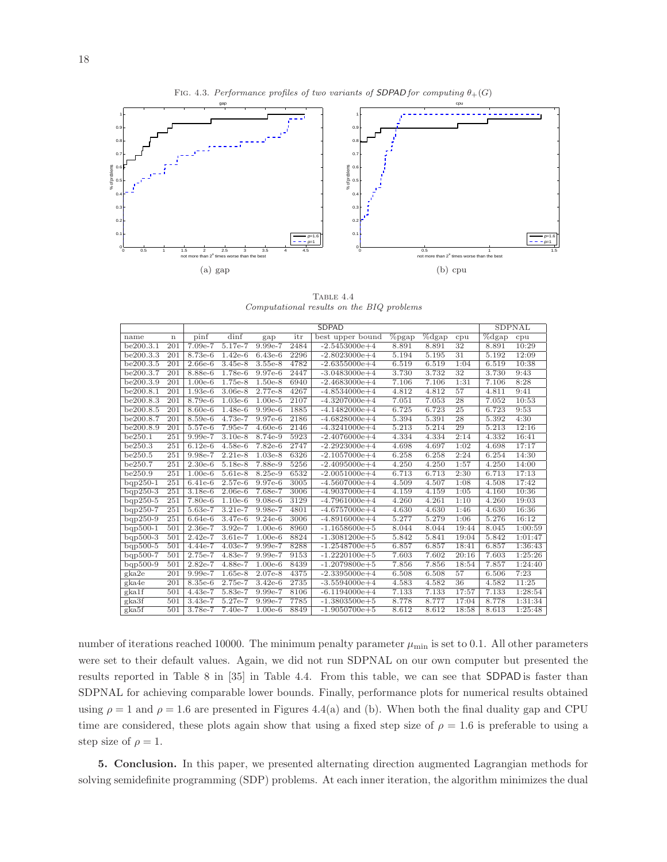

Table 4.4 *Computational results on the BIQ problems*

|            |             | <b>SDPAD</b> |           |           |      |                   |                  |                         |       | SDPNAL                  |         |
|------------|-------------|--------------|-----------|-----------|------|-------------------|------------------|-------------------------|-------|-------------------------|---------|
| name       | $\mathbf n$ | pinf         | dinf      | gap       | itr  | best upper bound  | $\sqrt{\%}$ pgap | $\sqrt[6]{\text{dgap}}$ | cpu   | $\sqrt[6]{\text{dgap}}$ | cpu     |
| be200.3.1  | 201         | 7.09e-7      | $5.17e-7$ | 9.99e-7   | 2484 | $-2.5453000e+4$   | 8.891            | 8.891                   | 32    | 8.891                   | 10:29   |
| be200.3.3  | 201         | 8.73e-6      | $1.42e-6$ | $6.43e-6$ | 2296 | $-2.8023000e+4$   | 5.194            | 5.195                   | 31    | 5.192                   | 12:09   |
| be200.3.5  | 201         | $2.66e-6$    | $3.45e-8$ | $3.55e-8$ | 4782 | $-2.6355000e + 4$ | 6.519            | 6.519                   | 1:04  | 6.519                   | 10:38   |
| be200.3.7  | 201         | 8.88e-6      | 1.78e-6   | 9.97e-6   | 2447 | $-3.0483000e + 4$ | 3.730            | 3.732                   | 32    | 3.730                   | 9:43    |
| be200.3.9  | 201         | $1.00e-6$    | $1.75e-8$ | $1.50e-8$ | 6940 | $-2.4683000e + 4$ | 7.106            | 7.106                   | 1:31  | 7.106                   | 8:28    |
| be200.8.1  | 201         | $1.93e-6$    | $3.06e-8$ | $2.77e-8$ | 4267 | $-4.8534000e + 4$ | 4.812            | 4.812                   | 57    | 4.811                   | 9:41    |
| be200.8.3  | 201         | 8.79e-6      | $1.03e-6$ | $1.00e-5$ | 2107 | $-4.3207000e + 4$ | 7.051            | 7.053                   | 28    | 7.052                   | 10:53   |
| be200.8.5  | 201         | 8.60e-6      | $1.48e-6$ | $9.99e-6$ | 1885 | $-4.1482000e+4$   | 6.725            | 6.723                   | 25    | 6.723                   | 9:53    |
| be200.8.7  | 201         | $8.59e-6$    | 4.73e-7   | $9.97e-6$ | 2186 | $-4.6828000e + 4$ | 5.394            | 5.391                   | 28    | 5.392                   | 4:30    |
| be200.8.9  | 201         | $5.57e-6$    | $7.95e-7$ | $4.60e-6$ | 2146 | $-4.3241000e + 4$ | 5.213            | 5.214                   | 29    | 5.213                   | 12:16   |
| be250.1    | 251         | $9.99e-7$    | $3.10e-8$ | $8.74e-9$ | 5923 | $-2.4076000e+4$   | 4.334            | 4.334                   | 2:14  | 4.332                   | 16:41   |
| be250.3    | 251         | $6.12e-6$    | $4.58e-6$ | $7.82e-6$ | 2747 | $-2.2923000e + 4$ | 4.698            | 4.697                   | 1:02  | 4.698                   | 17:17   |
| be250.5    | 251         | $9.98e-7$    | $2.21e-8$ | $1.03e-8$ | 6326 | $-2.1057000e + 4$ | 6.258            | 6.258                   | 2:24  | 6.254                   | 14:30   |
| be250.7    | 251         | $2.30e-6$    | 5.18e-8   | 7.88e-9   | 5256 | $-2.4095000e + 4$ | 4.250            | 4.250                   | 1:57  | 4.250                   | 14:00   |
| be250.9    | 251         | $1.00e-6$    | $5.61e-8$ | 8.25e-9   | 6532 | $-2.0051000e+4$   | 6.713            | 6.713                   | 2:30  | 6.713                   | 17:13   |
| $bqp250-1$ | 251         | $6.41e-6$    | $2.57e-6$ | $9.97e-6$ | 3005 | $-4.5607000e + 4$ | 4.509            | 4.507                   | 1:08  | 4.508                   | 17:42   |
| $bqp250-3$ | 251         | $3.18e-6$    | $2.06e-6$ | 7.68e-7   | 3006 | $-4.9037000e+4$   | 4.159            | 4.159                   | 1:05  | 4.160                   | 10:36   |
| $bqp250-5$ | 251         | $7.80e-6$    | $1.10e-6$ | $9.08e-6$ | 3129 | $-4.7961000e + 4$ | 4.260            | 4.261                   | 1:10  | 4.260                   | 19:03   |
| $bqp250-7$ | 251         | $5.63e-7$    | $3.21e-7$ | $9.98e-7$ | 4801 | $-4.6757000e + 4$ | 4.630            | 4.630                   | 1:46  | 4.630                   | 16:36   |
| $bqp250-9$ | 251         | $6.64e-6$    | 3.47e-6   | $9.24e-6$ | 3006 | $-4.8916000e + 4$ | 5.277            | 5.279                   | 1:06  | 5.276                   | 16:12   |
| $bqp500-1$ | 501         | 2.36e-7      | $3.92e-7$ | $1.00e-6$ | 8960 | $-1.1658600e + 5$ | 8.044            | 8.044                   | 19:44 | 8.045                   | 1:00:59 |
| $bqp500-3$ | 501         | $2.42e-7$    | $3.61e-7$ | $1.00e-6$ | 8824 | $-1.3081200e + 5$ | 5.842            | 5.841                   | 19:04 | 5.842                   | 1:01:47 |
| $bqp500-5$ | 501         | $4.44e-7$    | $4.03e-7$ | 9.99e-7   | 8288 | $-1.2548700e + 5$ | 6.857            | 6.857                   | 18:41 | 6.857                   | 1:36:43 |
| $bqp500-7$ | 501         | 2.75e-7      | 4.83e-7   | 9.99e-7   | 9153 | $-1.2220100e + 5$ | 7.603            | 7.602                   | 20:16 | 7.603                   | 1:25:26 |
| $bqp500-9$ | 501         | $2.82e-7$    | 4.88e-7   | $1.00e-6$ | 8439 | $-1.2079800e + 5$ | 7.856            | 7.856                   | 18:54 | 7.857                   | 1:24:40 |
| gka2e      | 201         | 9.99e-7      | $1.65e-8$ | $2.07e-8$ | 4375 | $-2.3395000e + 4$ | 6.508            | 6.508                   | 57    | 6.506                   | 7:23    |
| gka4e      | 201         | $8.35e-6$    | $2.75e-7$ | $3.42e-6$ | 2735 | $-3.5594000e+4$   | 4.583            | 4.582                   | 36    | 4.582                   | 11:25   |
| gka1f      | 501         | $4.43e-7$    | 5.83e-7   | $9.99e-7$ | 8106 | $-6.1194000e + 4$ | 7.133            | 7.133                   | 17:57 | 7.133                   | 1:28:54 |
| $g$ ka3f   | 501         | $3.43e-7$    | $5.27e-7$ | $9.99e-7$ | 7785 | $-1.3803500e + 5$ | 8.778            | 8.777                   | 17:04 | 8.778                   | 1:31:34 |
| gka5f      | 501         | 3.78e-7      | 7.40e-7   | $1.00e-6$ | 8849 | $-1.9050700e + 5$ | 8.612            | 8.612                   | 18:58 | 8.613                   | 1:25:48 |

number of iterations reached 10000. The minimum penalty parameter  $\mu_{\min}$  is set to 0.1. All other parameters were set to their default values. Again, we did not run SDPNAL on our own computer but presented the results reported in Table 8 in [35] in Table 4.4. From this table, we can see that SDPAD is faster than SDPNAL for achieving comparable lower bounds. Finally, performance plots for numerical results obtained using  $\rho = 1$  and  $\rho = 1.6$  are presented in Figures 4.4(a) and (b). When both the final duality gap and CPU time are considered, these plots again show that using a fixed step size of  $\rho = 1.6$  is preferable to using a step size of  $\rho = 1$ .

5. Conclusion. In this paper, we presented alternating direction augmented Lagrangian methods for solving semidefinite programming (SDP) problems. At each inner iteration, the algorithm minimizes the dual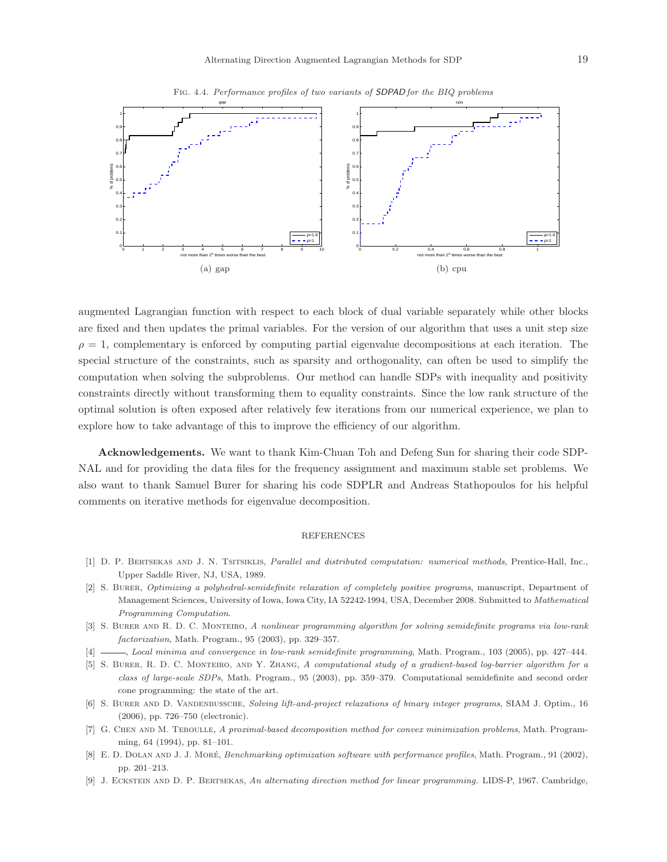

Fig. 4.4. *Performance profiles of two variants of* SDPAD *for the BIQ problems*

augmented Lagrangian function with respect to each block of dual variable separately while other blocks are fixed and then updates the primal variables. For the version of our algorithm that uses a unit step size  $\rho = 1$ , complementary is enforced by computing partial eigenvalue decompositions at each iteration. The special structure of the constraints, such as sparsity and orthogonality, can often be used to simplify the computation when solving the subproblems. Our method can handle SDPs with inequality and positivity constraints directly without transforming them to equality constraints. Since the low rank structure of the optimal solution is often exposed after relatively few iterations from our numerical experience, we plan to explore how to take advantage of this to improve the efficiency of our algorithm.

Acknowledgements. We want to thank Kim-Chuan Toh and Defeng Sun for sharing their code SDP-NAL and for providing the data files for the frequency assignment and maximum stable set problems. We also want to thank Samuel Burer for sharing his code SDPLR and Andreas Stathopoulos for his helpful comments on iterative methods for eigenvalue decomposition.

#### REFERENCES

- [1] D. P. Bertsekas and J. N. Tsitsiklis, *Parallel and distributed computation: numerical methods*, Prentice-Hall, Inc., Upper Saddle River, NJ, USA, 1989.
- [2] S. Burer, *Optimizing a polyhedral-semidefinite relaxation of completely positive programs*, manuscript, Department of Management Sciences, University of Iowa, Iowa City, IA 52242-1994, USA, December 2008. Submitted to *Mathematical Programming Computation*.
- [3] S. Burer and R. D. C. Monteiro, *A nonlinear programming algorithm for solving semidefinite programs via low-rank factorization*, Math. Program., 95 (2003), pp. 329–357.
- [4] , *Local minima and convergence in low-rank semidefinite programming*, Math. Program., 103 (2005), pp. 427–444.
- [5] S. Burer, R. D. C. Monteiro, and Y. Zhang, *A computational study of a gradient-based log-barrier algorithm for a class of large-scale SDPs*, Math. Program., 95 (2003), pp. 359–379. Computational semidefinite and second order cone programming: the state of the art.
- [6] S. Burer and D. Vandenbussche, *Solving lift-and-project relaxations of binary integer programs*, SIAM J. Optim., 16 (2006), pp. 726–750 (electronic).
- [7] G. Chen and M. Teboulle, *A proximal-based decomposition method for convex minimization problems*, Math. Programming, 64 (1994), pp. 81–101.
- [8] E. D. Dolan and J. J. More´, *Benchmarking optimization software with performance profiles*, Math. Program., 91 (2002), pp. 201–213.
- [9] J. Eckstein and D. P. Bertsekas, *An alternating direction method for linear programming.* LIDS-P, 1967. Cambridge,